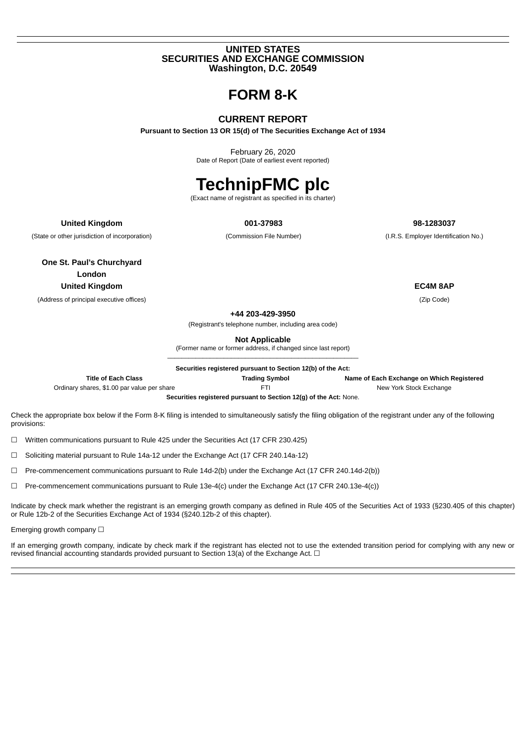#### **UNITED STATES SECURITIES AND EXCHANGE COMMISSION Washington, D.C. 20549**

## **FORM 8-K**

#### **CURRENT REPORT**

**Pursuant to Section 13 OR 15(d) of The Securities Exchange Act of 1934**

February 26, 2020 Date of Report (Date of earliest event reported)

# **TechnipFMC plc**

(Exact name of registrant as specified in its charter)

**United Kingdom 001-37983 98-1283037**

(State or other jurisdiction of incorporation) (Commission File Number) (I.R.S. Employer Identification No.)

**One St. Paul's Churchyard London United Kingdom EC4M 8AP**

(Address of principal executive offices) (Zip Code)

**+44 203-429-3950**

(Registrant's telephone number, including area code)

**Not Applicable**

(Former name or former address, if changed since last report) \_\_\_\_\_\_\_\_\_\_\_\_\_\_\_\_\_\_\_\_\_\_\_\_\_\_\_\_\_\_\_\_\_\_\_\_\_\_\_\_\_\_\_\_\_\_\_\_\_\_\_\_\_\_

**Securities registered pursuant to Section 12(b) of the Act:**

**Title of Each Class Trading Symbol Name of Each Exchange on Which Registered**

Ordinary shares, \$1.00 par value per share FTI FTI FTI FTI New York Stock Exchange

**Securities registered pursuant to Section 12(g) of the Act:** None.

Check the appropriate box below if the Form 8-K filing is intended to simultaneously satisfy the filing obligation of the registrant under any of the following provisions:

☐ Written communications pursuant to Rule 425 under the Securities Act (17 CFR 230.425)

☐ Soliciting material pursuant to Rule 14a-12 under the Exchange Act (17 CFR 240.14a-12)

☐ Pre-commencement communications pursuant to Rule 14d-2(b) under the Exchange Act (17 CFR 240.14d-2(b))

☐ Pre-commencement communications pursuant to Rule 13e-4(c) under the Exchange Act (17 CFR 240.13e-4(c))

Indicate by check mark whether the registrant is an emerging growth company as defined in Rule 405 of the Securities Act of 1933 (§230.405 of this chapter) or Rule 12b-2 of the Securities Exchange Act of 1934 (§240.12b-2 of this chapter).

Emerging growth company  $\Box$ 

If an emerging growth company, indicate by check mark if the registrant has elected not to use the extended transition period for complying with any new or revised financial accounting standards provided pursuant to Section 13(a) of the Exchange Act.  $\Box$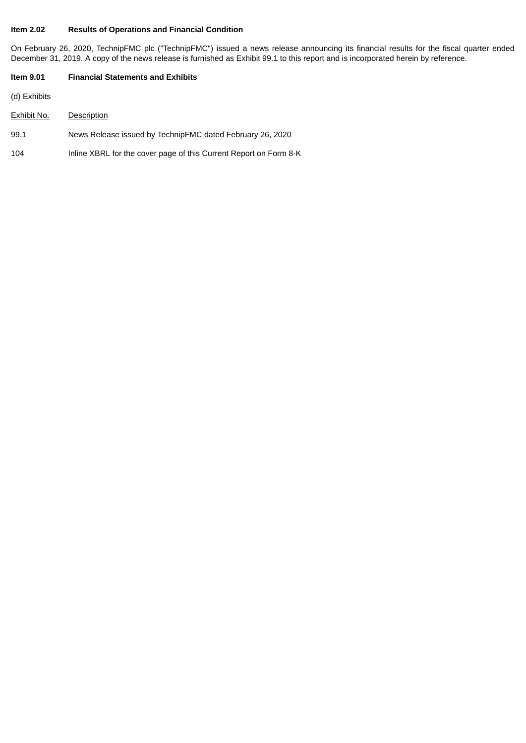#### **Item 2.02 Results of Operations and Financial Condition**

On February 26, 2020, TechnipFMC plc ("TechnipFMC") issued a news release announcing its financial results for the fiscal quarter ended December 31, 2019. A copy of the news release is furnished as Exhibit 99.1 to this report and is incorporated herein by reference.

#### **Item 9.01 Financial Statements and Exhibits**

(d) Exhibits

- Exhibit No. Description
- 99.1 News Release issued by TechnipFMC dated February 26, 2020
- 104 Inline XBRL for the cover page of this Current Report on Form 8-K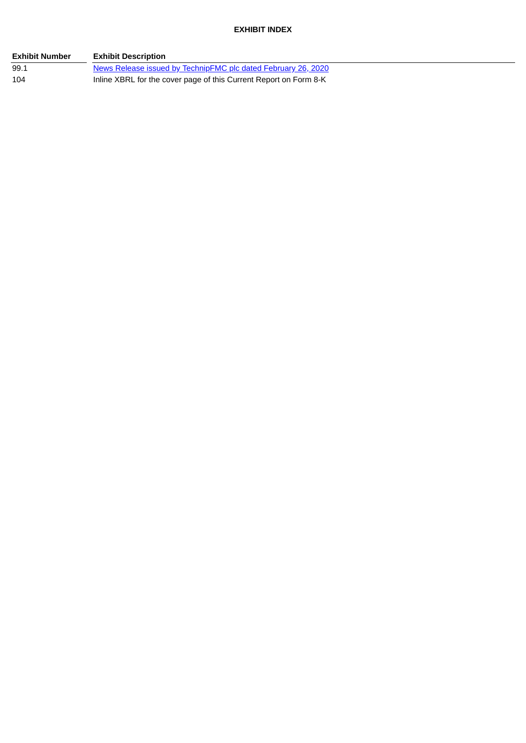**EXHIBIT INDEX**

| <b>Exhibit Number</b> | <b>Exhibit Description</b>                                        |
|-----------------------|-------------------------------------------------------------------|
| 99.1                  | News Release issued by TechnipFMC plc dated February 26, 2020     |
| 104                   | Inline XBRL for the cover page of this Current Report on Form 8-K |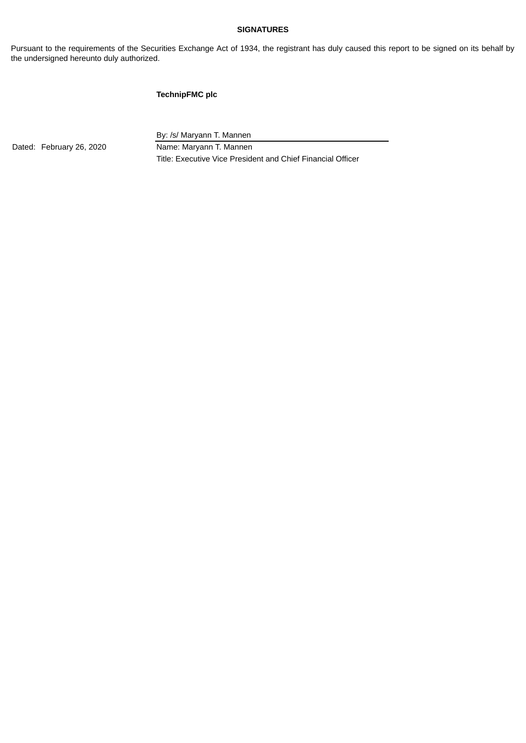#### **SIGNATURES**

Pursuant to the requirements of the Securities Exchange Act of 1934, the registrant has duly caused this report to be signed on its behalf by the undersigned hereunto duly authorized.

#### **TechnipFMC plc**

By: /s/ Maryann T. Mannen

Dated: February 26, 2020 Name: Maryann T. Mannen Title: Executive Vice President and Chief Financial Officer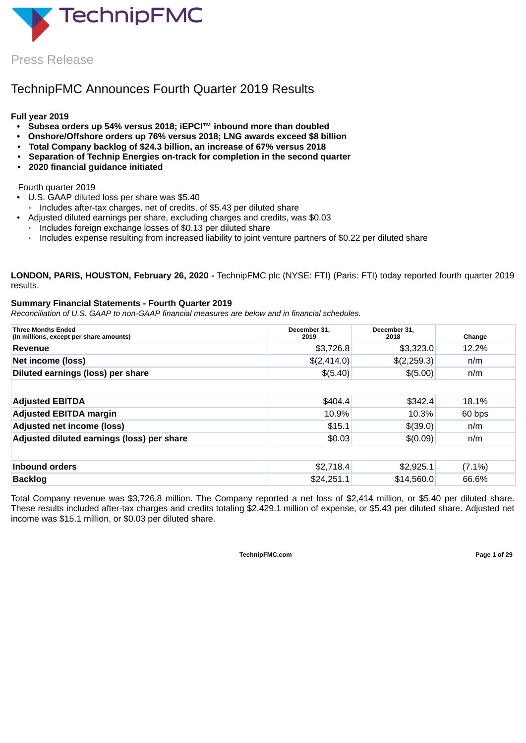<span id="page-4-0"></span>

Press Release

## TechnipFMC Announces Fourth Quarter 2019 Results

### **Full year 2019**

- **• Subsea orders up 54% versus 2018; iEPCI™ inbound more than doubled**
- **• Onshore/Offshore orders up 76% versus 2018; LNG awards exceed \$8 billion**
- **• Total Company backlog of \$24.3 billion, an increase of 67% versus 2018**
- **• Separation of Technip Energies on-track for completion in the second quarter**
- **• 2020 financial guidance initiated**

Fourth quarter 2019

- U.S. GAAP diluted loss per share was \$5.40
	- Includes after-tax charges, net of credits, of \$5.43 per diluted share
- Adjusted diluted earnings per share, excluding charges and credits, was \$0.03
	- Includes foreign exchange losses of \$0.13 per diluted share
	- Includes expense resulting from increased liability to joint venture partners of \$0.22 per diluted share

#### **LONDON, PARIS, HOUSTON, February 26, 2020 -** TechnipFMC plc (NYSE: FTI) (Paris: FTI) today reported fourth quarter 2019 results.

#### **Summary Financial Statements - Fourth Quarter 2019**

*Reconciliation of U.S. GAAP to non-GAAP financial measures are below and in financial schedules.*

| <b>Three Months Ended</b><br>(In millions, except per share amounts) | December 31.<br>2019 | December 31.<br>2018 | Change    |
|----------------------------------------------------------------------|----------------------|----------------------|-----------|
| <b>Revenue</b>                                                       | \$3,726.8            | \$3,323.0            | 12.2%     |
| Net income (loss)                                                    | \$(2,414.0)          | \$(2,259.3)          | n/m       |
| Diluted earnings (loss) per share                                    | \$(5.40)             | \$(5.00)             | n/m       |
|                                                                      |                      |                      |           |
| <b>Adjusted EBITDA</b>                                               | \$404.4              | \$342.4              | 18.1%     |
| <b>Adjusted EBITDA margin</b>                                        | 10.9%                | 10.3%                | 60 bps    |
| <b>Adjusted net income (loss)</b>                                    | \$15.1               | \$(39.0)             | n/m       |
| Adjusted diluted earnings (loss) per share                           | \$0.03               | \$(0.09)             | n/m       |
|                                                                      |                      |                      |           |
| Inbound orders                                                       | \$2,718.4            | \$2,925.1            | $(7.1\%)$ |
| <b>Backlog</b>                                                       | \$24.251.1           | \$14,560.0           | 66.6%     |

Total Company revenue was \$3,726.8 million. The Company reported a net loss of \$2,414 million, or \$5.40 per diluted share. These results included after-tax charges and credits totaling \$2,429.1 million of expense, or \$5.43 per diluted share. Adjusted net income was \$15.1 million, or \$0.03 per diluted share.

**TechnipFMC.com Page 1 of [29](#page-34-0)**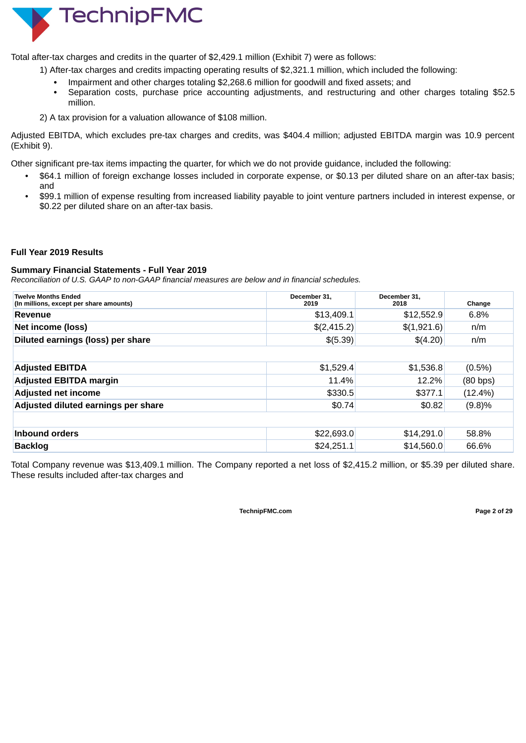

Total after-tax charges and credits in the quarter of \$2,429.1 million (Exhibit 7) were as follows:

1) After-tax charges and credits impacting operating results of \$2,321.1 million, which included the following:

- **•** Impairment and other charges totaling \$2,268.6 million for goodwill and fixed assets; and
- **•** Separation costs, purchase price accounting adjustments, and restructuring and other charges totaling \$52.5 million.
- 2) A tax provision for a valuation allowance of \$108 million.

Adjusted EBITDA, which excludes pre-tax charges and credits, was \$404.4 million; adjusted EBITDA margin was 10.9 percent (Exhibit 9).

Other significant pre-tax items impacting the quarter, for which we do not provide guidance, included the following:

- \$64.1 million of foreign exchange losses included in corporate expense, or \$0.13 per diluted share on an after-tax basis; and
- \$99.1 million of expense resulting from increased liability payable to joint venture partners included in interest expense, or \$0.22 per diluted share on an after-tax basis.

#### **Full Year 2019 Results**

#### **Summary Financial Statements - Full Year 2019**

*Reconciliation of U.S. GAAP to non-GAAP financial measures are below and in financial schedules.*

| <b>Twelve Months Ended</b><br>(In millions, except per share amounts) | December 31,<br>2019 | December 31,<br>2018 | Change     |
|-----------------------------------------------------------------------|----------------------|----------------------|------------|
| <b>Revenue</b>                                                        | \$13,409.1           | \$12,552.9           | 6.8%       |
| Net income (loss)                                                     | \$(2,415.2)          | \$(1,921.6)          | n/m        |
| Diluted earnings (loss) per share                                     | \$(5.39)             | \$(4.20)             | n/m        |
|                                                                       |                      |                      |            |
| <b>Adjusted EBITDA</b>                                                | \$1,529.4            | \$1,536.8            | $(0.5\%)$  |
| <b>Adjusted EBITDA margin</b>                                         | 11.4%                | 12.2%                | (80 bps)   |
| <b>Adjusted net income</b>                                            | \$330.5              | \$377.1              | $(12.4\%)$ |
| Adjusted diluted earnings per share                                   | \$0.74               | \$0.82               | (9.8)%     |
|                                                                       |                      |                      |            |
| Inbound orders                                                        | \$22,693.0           | \$14,291.0           | 58.8%      |
| <b>Backlog</b>                                                        | \$24,251.1           | \$14,560.0           | 66.6%      |

Total Company revenue was \$13,409.1 million. The Company reported a net loss of \$2,415.2 million, or \$5.39 per diluted share. These results included after-tax charges and

**TechnipFMC.com Page 2 of [29](#page-34-0)**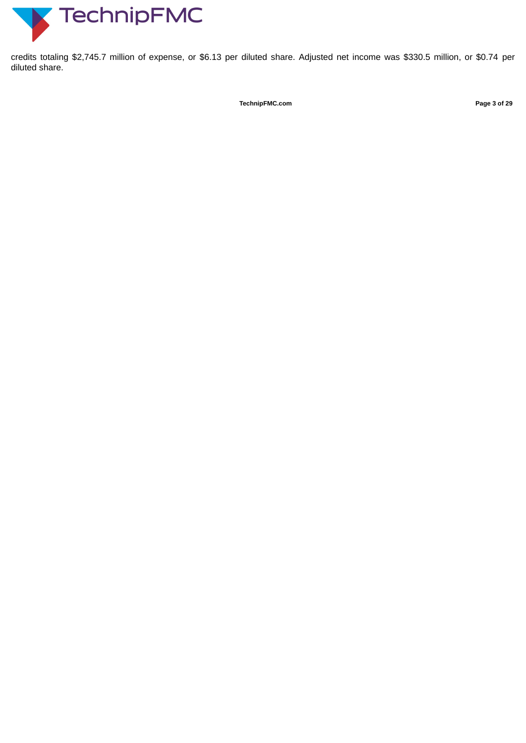

credits totaling \$2,745.7 million of expense, or \$6.13 per diluted share. Adjusted net income was \$330.5 million, or \$0.74 per diluted share.

**TechnipFMC.com Page 3 of [29](#page-34-0)**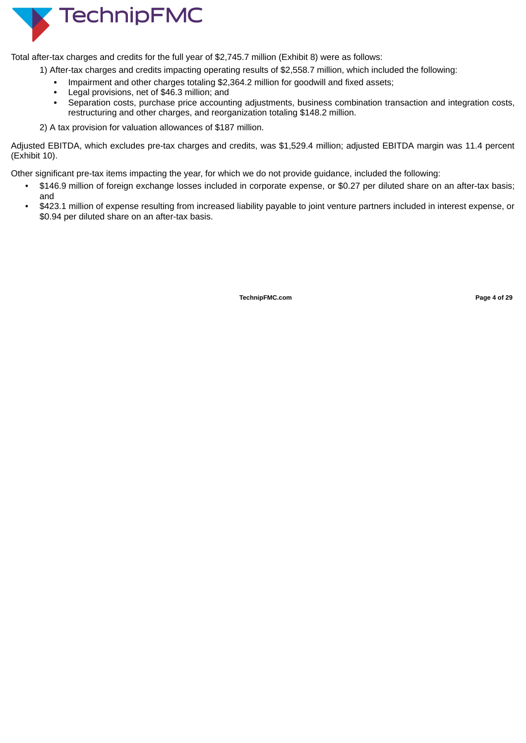

Total after-tax charges and credits for the full year of \$2,745.7 million (Exhibit 8) were as follows:

1) After-tax charges and credits impacting operating results of \$2,558.7 million, which included the following:

- **•** Impairment and other charges totaling \$2,364.2 million for goodwill and fixed assets;
- **•** Legal provisions, net of \$46.3 million; and
- **•** Separation costs, purchase price accounting adjustments, business combination transaction and integration costs, restructuring and other charges, and reorganization totaling \$148.2 million.

2) A tax provision for valuation allowances of \$187 million.

Adjusted EBITDA, which excludes pre-tax charges and credits, was \$1,529.4 million; adjusted EBITDA margin was 11.4 percent (Exhibit 10).

Other significant pre-tax items impacting the year, for which we do not provide guidance, included the following:

- \$146.9 million of foreign exchange losses included in corporate expense, or \$0.27 per diluted share on an after-tax basis; and
- \$423.1 million of expense resulting from increased liability payable to joint venture partners included in interest expense, or \$0.94 per diluted share on an after-tax basis.

**TechnipFMC.com Page 4 of [29](#page-34-0)**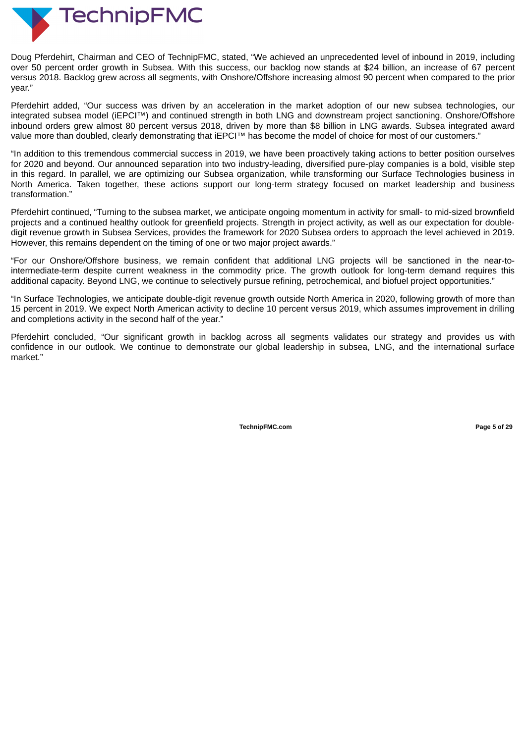

Doug Pferdehirt, Chairman and CEO of TechnipFMC, stated, "We achieved an unprecedented level of inbound in 2019, including over 50 percent order growth in Subsea. With this success, our backlog now stands at \$24 billion, an increase of 67 percent versus 2018. Backlog grew across all segments, with Onshore/Offshore increasing almost 90 percent when compared to the prior year."

Pferdehirt added, "Our success was driven by an acceleration in the market adoption of our new subsea technologies, our integrated subsea model (iEPCI™) and continued strength in both LNG and downstream project sanctioning. Onshore/Offshore inbound orders grew almost 80 percent versus 2018, driven by more than \$8 billion in LNG awards. Subsea integrated award value more than doubled, clearly demonstrating that iEPCI™ has become the model of choice for most of our customers."

"In addition to this tremendous commercial success in 2019, we have been proactively taking actions to better position ourselves for 2020 and beyond. Our announced separation into two industry-leading, diversified pure-play companies is a bold, visible step in this regard. In parallel, we are optimizing our Subsea organization, while transforming our Surface Technologies business in North America. Taken together, these actions support our long-term strategy focused on market leadership and business transformation."

Pferdehirt continued, "Turning to the subsea market, we anticipate ongoing momentum in activity for small- to mid-sized brownfield projects and a continued healthy outlook for greenfield projects. Strength in project activity, as well as our expectation for doubledigit revenue growth in Subsea Services, provides the framework for 2020 Subsea orders to approach the level achieved in 2019. However, this remains dependent on the timing of one or two major project awards."

"For our Onshore/Offshore business, we remain confident that additional LNG projects will be sanctioned in the near-tointermediate-term despite current weakness in the commodity price. The growth outlook for long-term demand requires this additional capacity. Beyond LNG, we continue to selectively pursue refining, petrochemical, and biofuel project opportunities."

"In Surface Technologies, we anticipate double-digit revenue growth outside North America in 2020, following growth of more than 15 percent in 2019. We expect North American activity to decline 10 percent versus 2019, which assumes improvement in drilling and completions activity in the second half of the year."

Pferdehirt concluded, "Our significant growth in backlog across all segments validates our strategy and provides us with confidence in our outlook. We continue to demonstrate our global leadership in subsea, LNG, and the international surface market."

**TechnipFMC.com Page 5 of [29](#page-34-0)**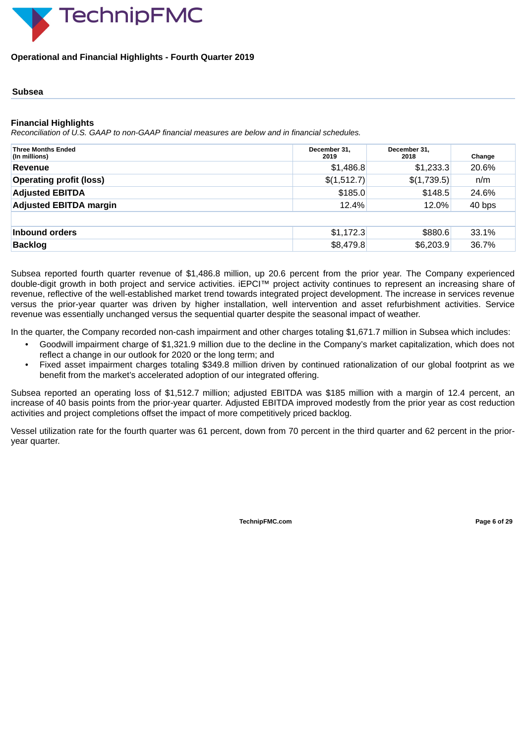

#### **Operational and Financial Highlights - Fourth Quarter 2019**

#### **Subsea**

#### **Financial Highlights**

*Reconciliation of U.S. GAAP to non-GAAP financial measures are below and in financial schedules.*

| <b>Three Months Ended</b><br>(In millions) | December 31.<br>2019 | December 31.<br>2018 | Change |
|--------------------------------------------|----------------------|----------------------|--------|
| Revenue                                    | \$1,486.8            | \$1,233.3            | 20.6%  |
| <b>Operating profit (loss)</b>             | \$(1,512.7)          | \$(1,739.5)          | n/m    |
| <b>Adjusted EBITDA</b>                     | \$185.0              | \$148.5              | 24.6%  |
| <b>Adjusted EBITDA margin</b>              | 12.4%                | 12.0%                | 40 bps |
|                                            |                      |                      |        |
| Inbound orders                             | \$1,172.3            | \$880.6              | 33.1%  |
| <b>Backlog</b>                             | \$8,479.8            | \$6,203.9            | 36.7%  |

Subsea reported fourth quarter revenue of \$1,486.8 million, up 20.6 percent from the prior year. The Company experienced double-digit growth in both project and service activities. iEPCI™ project activity continues to represent an increasing share of revenue, reflective of the well-established market trend towards integrated project development. The increase in services revenue versus the prior-year quarter was driven by higher installation, well intervention and asset refurbishment activities. Service revenue was essentially unchanged versus the sequential quarter despite the seasonal impact of weather.

In the quarter, the Company recorded non-cash impairment and other charges totaling \$1,671.7 million in Subsea which includes:

- Goodwill impairment charge of \$1,321.9 million due to the decline in the Company's market capitalization, which does not reflect a change in our outlook for 2020 or the long term; and
- Fixed asset impairment charges totaling \$349.8 million driven by continued rationalization of our global footprint as we benefit from the market's accelerated adoption of our integrated offering.

Subsea reported an operating loss of \$1,512.7 million; adjusted EBITDA was \$185 million with a margin of 12.4 percent, an increase of 40 basis points from the prior-year quarter. Adjusted EBITDA improved modestly from the prior year as cost reduction activities and project completions offset the impact of more competitively priced backlog.

Vessel utilization rate for the fourth quarter was 61 percent, down from 70 percent in the third quarter and 62 percent in the prioryear quarter.

**TechnipFMC.com Page 6 of [29](#page-34-0)**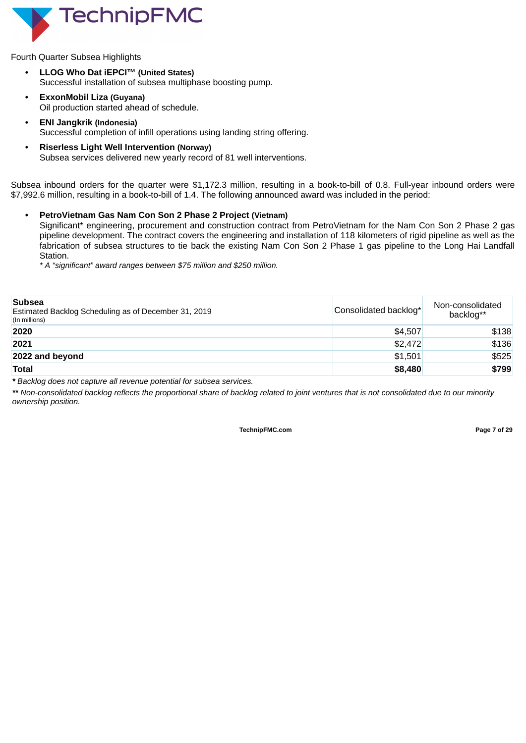

Fourth Quarter Subsea Highlights

- **• LLOG Who Dat iEPCI™ (United States)** Successful installation of subsea multiphase boosting pump.
- **• ExxonMobil Liza (Guyana)** Oil production started ahead of schedule.
- **• ENI Jangkrik (Indonesia)** Successful completion of infill operations using landing string offering.
- **• Riserless Light Well Intervention (Norway)** Subsea services delivered new yearly record of 81 well interventions.

Subsea inbound orders for the quarter were \$1,172.3 million, resulting in a book-to-bill of 0.8. Full-year inbound orders were \$7,992.6 million, resulting in a book-to-bill of 1.4. The following announced award was included in the period:

**• PetroVietnam Gas Nam Con Son 2 Phase 2 Project (Vietnam)** Significant\* engineering, procurement and construction contract from PetroVietnam for the Nam Con Son 2 Phase 2 gas pipeline development. The contract covers the engineering and installation of 118 kilometers of rigid pipeline as well as the fabrication of subsea structures to tie back the existing Nam Con Son 2 Phase 1 gas pipeline to the Long Hai Landfall Station.

*\* A "significant" award ranges between \$75 million and \$250 million.*

| Subsea<br>Estimated Backlog Scheduling as of December 31, 2019<br>(In millions) | Consolidated backlog* | Non-consolidated<br>backlog** |
|---------------------------------------------------------------------------------|-----------------------|-------------------------------|
| 2020                                                                            | \$4,507               | \$138                         |
| 2021                                                                            | \$2,472               | \$136                         |
| 2022 and beyond                                                                 | \$1,501               | \$525                         |
| <b>Total</b>                                                                    | \$8,480               | \$799                         |

*\* Backlog does not capture all revenue potential for subsea services.*

\*\* Non-consolidated backlog reflects the proportional share of backlog related to joint ventures that is not consolidated due to our minority *ownership position.*

**TechnipFMC.com Page 7 of [29](#page-34-0)**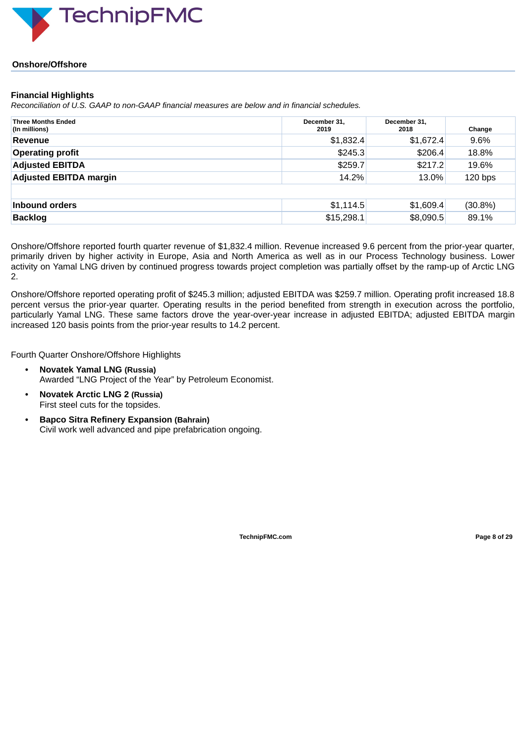

#### **Onshore/Offshore**

#### **Financial Highlights**

*Reconciliation of U.S. GAAP to non-GAAP financial measures are below and in financial schedules.*

| <b>Three Months Ended</b><br>(In millions) | December 31,<br>2019 | December 31,<br>2018 | Change     |
|--------------------------------------------|----------------------|----------------------|------------|
| Revenue                                    | \$1,832.4            | \$1,672.4            | 9.6%       |
| <b>Operating profit</b>                    | \$245.3              | \$206.4              | 18.8%      |
| <b>Adjusted EBITDA</b>                     | \$259.7              | \$217.2              | 19.6%      |
| <b>Adjusted EBITDA margin</b>              | 14.2%                | 13.0%                | $120$ bps  |
|                                            |                      |                      |            |
| Inbound orders                             | \$1,114.5            | \$1,609.4            | $(30.8\%)$ |
| <b>Backlog</b>                             | \$15,298.1           | \$8,090.5            | 89.1%      |

Onshore/Offshore reported fourth quarter revenue of \$1,832.4 million. Revenue increased 9.6 percent from the prior-year quarter, primarily driven by higher activity in Europe, Asia and North America as well as in our Process Technology business. Lower activity on Yamal LNG driven by continued progress towards project completion was partially offset by the ramp-up of Arctic LNG 2.

Onshore/Offshore reported operating profit of \$245.3 million; adjusted EBITDA was \$259.7 million. Operating profit increased 18.8 percent versus the prior-year quarter. Operating results in the period benefited from strength in execution across the portfolio, particularly Yamal LNG. These same factors drove the year-over-year increase in adjusted EBITDA; adjusted EBITDA margin increased 120 basis points from the prior-year results to 14.2 percent.

Fourth Quarter Onshore/Offshore Highlights

- **• Novatek Yamal LNG (Russia)** Awarded "LNG Project of the Year" by Petroleum Economist.
- **• Novatek Arctic LNG 2 (Russia)** First steel cuts for the topsides.
- **• Bapco Sitra Refinery Expansion (Bahrain)** Civil work well advanced and pipe prefabrication ongoing.

**TechnipFMC.com Page 8 of [29](#page-34-0)**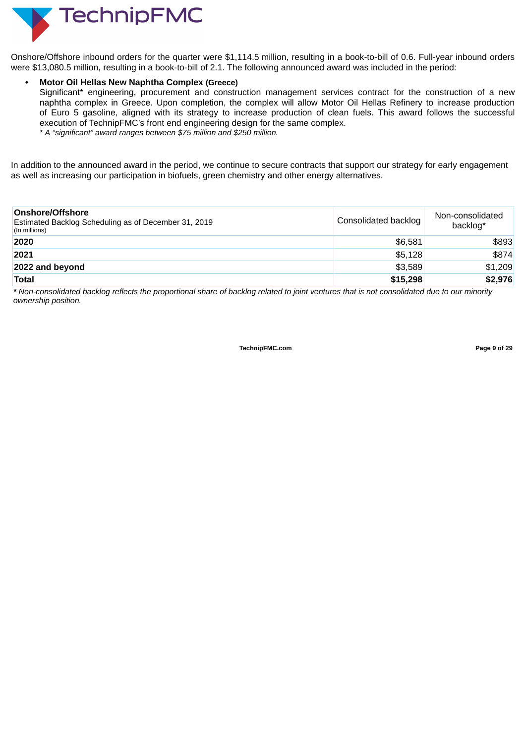

Onshore/Offshore inbound orders for the quarter were \$1,114.5 million, resulting in a book-to-bill of 0.6. Full-year inbound orders were \$13,080.5 million, resulting in a book-to-bill of 2.1. The following announced award was included in the period:

#### **• Motor Oil Hellas New Naphtha Complex (Greece)**

Significant<sup>\*</sup> engineering, procurement and construction management services contract for the construction of a new naphtha complex in Greece. Upon completion, the complex will allow Motor Oil Hellas Refinery to increase production of Euro 5 gasoline, aligned with its strategy to increase production of clean fuels. This award follows the successful execution of TechnipFMC's front end engineering design for the same complex. *\* A "significant" award ranges between \$75 million and \$250 million.*

In addition to the announced award in the period, we continue to secure contracts that support our strategy for early engagement as well as increasing our participation in biofuels, green chemistry and other energy alternatives.

| Onshore/Offshore<br>Estimated Backlog Scheduling as of December 31, 2019<br>(In millions) | Consolidated backlog | Non-consolidated<br>backlog* |
|-------------------------------------------------------------------------------------------|----------------------|------------------------------|
| 2020                                                                                      | \$6.581              | \$893                        |
| 2021                                                                                      | \$5.128              | \$874                        |
| 2022 and beyond                                                                           | \$3.589              | \$1,209                      |
| <b>Total</b>                                                                              | \$15,298             | \$2,976                      |

\* Non-consolidated backlog reflects the proportional share of backlog related to joint ventures that is not consolidated due to our minority *ownership position.*

**TechnipFMC.com Page 9 of [29](#page-34-0)**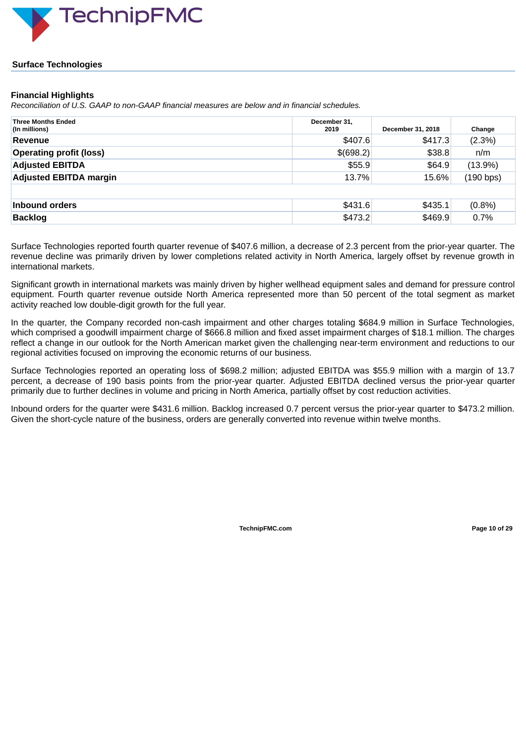

#### **Surface Technologies**

#### **Financial Highlights**

*Reconciliation of U.S. GAAP to non-GAAP financial measures are below and in financial schedules.*

| <b>Three Months Ended</b><br>(In millions) | December 31,<br>2019 | December 31, 2018 | Change     |
|--------------------------------------------|----------------------|-------------------|------------|
| Revenue                                    | \$407.6              | \$417.3           | $(2.3\%)$  |
| <b>Operating profit (loss)</b>             | \$(698.2)            | \$38.8            | n/m        |
| <b>Adjusted EBITDA</b>                     | \$55.9               | \$64.9            | $(13.9\%)$ |
| <b>Adjusted EBITDA margin</b>              | 13.7%                | 15.6%             | (190 bps)  |
|                                            |                      |                   |            |
| Inbound orders                             | \$431.6              | \$435.1           | $(0.8\%)$  |
| <b>Backlog</b>                             | \$473.2              | \$469.9           | 0.7%       |

Surface Technologies reported fourth quarter revenue of \$407.6 million, a decrease of 2.3 percent from the prior-year quarter. The revenue decline was primarily driven by lower completions related activity in North America, largely offset by revenue growth in international markets.

Significant growth in international markets was mainly driven by higher wellhead equipment sales and demand for pressure control equipment. Fourth quarter revenue outside North America represented more than 50 percent of the total segment as market activity reached low double-digit growth for the full year.

In the quarter, the Company recorded non-cash impairment and other charges totaling \$684.9 million in Surface Technologies, which comprised a goodwill impairment charge of \$666.8 million and fixed asset impairment charges of \$18.1 million. The charges reflect a change in our outlook for the North American market given the challenging near-term environment and reductions to our regional activities focused on improving the economic returns of our business.

Surface Technologies reported an operating loss of \$698.2 million; adjusted EBITDA was \$55.9 million with a margin of 13.7 percent, a decrease of 190 basis points from the prior-year quarter. Adjusted EBITDA declined versus the prior-year quarter primarily due to further declines in volume and pricing in North America, partially offset by cost reduction activities.

Inbound orders for the quarter were \$431.6 million. Backlog increased 0.7 percent versus the prior-year quarter to \$473.2 million. Given the short-cycle nature of the business, orders are generally converted into revenue within twelve months.

**TechnipFMC.com Page 10 of [29](#page-34-0)**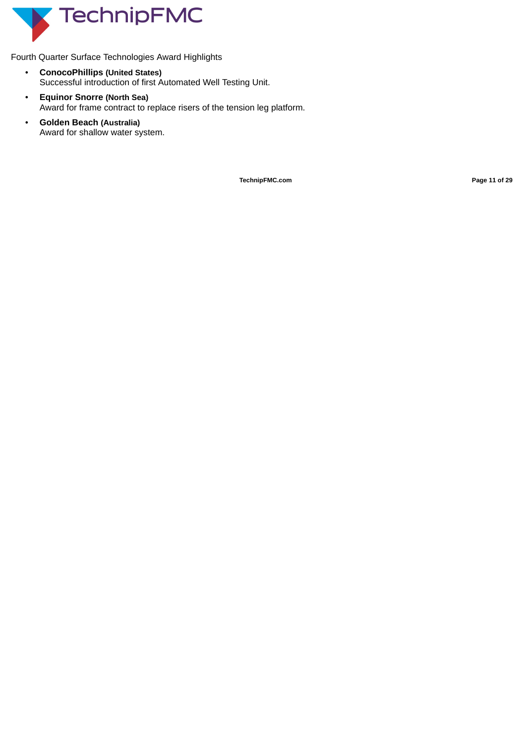

Fourth Quarter Surface Technologies Award Highlights

- **ConocoPhillips (United States)** Successful introduction of first Automated Well Testing Unit.
- **Equinor Snorre (North Sea)** Award for frame contract to replace risers of the tension leg platform.
- **Golden Beach (Australia)** Award for shallow water system.

**TechnipFMC.com Page 11 of [29](#page-34-0)**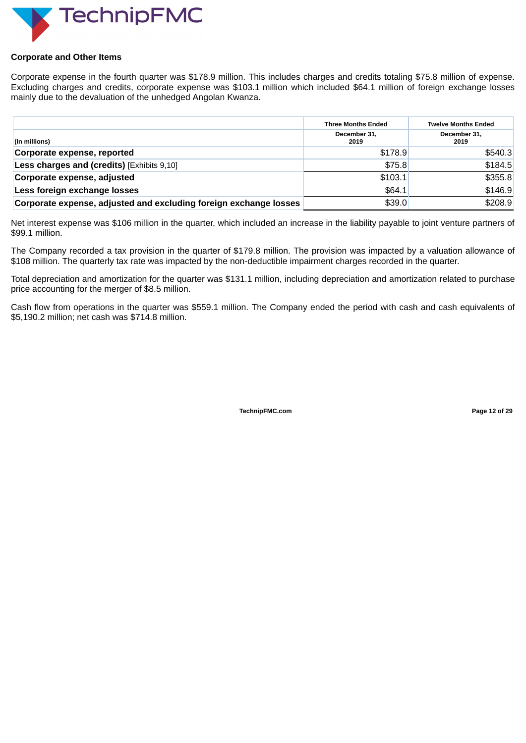

#### **Corporate and Other Items**

Corporate expense in the fourth quarter was \$178.9 million. This includes charges and credits totaling \$75.8 million of expense. Excluding charges and credits, corporate expense was \$103.1 million which included \$64.1 million of foreign exchange losses mainly due to the devaluation of the unhedged Angolan Kwanza.

|                                                                   | <b>Three Months Ended</b> | <b>Twelve Months Ended</b> |
|-------------------------------------------------------------------|---------------------------|----------------------------|
| (In millions)                                                     | December 31.<br>2019      | December 31.<br>2019       |
| Corporate expense, reported                                       | \$178.9                   | \$540.3                    |
| Less charges and (credits) [Exhibits 9,10]                        | \$75.8                    | \$184.5                    |
| Corporate expense, adjusted                                       | \$103.1                   | \$355.8                    |
| Less foreign exchange losses                                      | \$64.1                    | \$146.9                    |
| Corporate expense, adjusted and excluding foreign exchange losses | \$39.0                    | \$208.9                    |

Net interest expense was \$106 million in the quarter, which included an increase in the liability payable to joint venture partners of \$99.1 million.

The Company recorded a tax provision in the quarter of \$179.8 million. The provision was impacted by a valuation allowance of \$108 million. The quarterly tax rate was impacted by the non-deductible impairment charges recorded in the quarter.

Total depreciation and amortization for the quarter was \$131.1 million, including depreciation and amortization related to purchase price accounting for the merger of \$8.5 million.

Cash flow from operations in the quarter was \$559.1 million. The Company ended the period with cash and cash equivalents of \$5,190.2 million; net cash was \$714.8 million.

**TechnipFMC.com Page 12 of [29](#page-34-0)**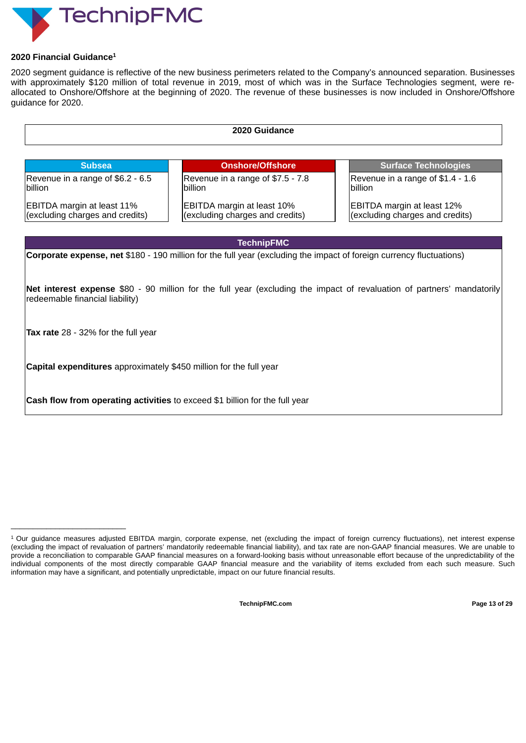

### **2020 Financial Guidance 1**

2020 segment guidance is reflective of the new business perimeters related to the Company's announced separation. Businesses with approximately \$120 million of total revenue in 2019, most of which was in the Surface Technologies segment, were reallocated to Onshore/Offshore at the beginning of 2020. The revenue of these businesses is now included in Onshore/Offshore guidance for 2020.

| 2020 Guidance                                                 |                                                                                                                      |                                                                                                                        |  |  |  |  |
|---------------------------------------------------------------|----------------------------------------------------------------------------------------------------------------------|------------------------------------------------------------------------------------------------------------------------|--|--|--|--|
| <b>Subsea</b>                                                 | <b>Onshore/Offshore</b>                                                                                              | <b>Surface Technologies</b>                                                                                            |  |  |  |  |
| Revenue in a range of \$6.2 - 6.5<br>billion                  | Revenue in a range of $$7.5 - 7.8$<br>lbillion                                                                       | Revenue in a range of $$1.4 - 1.6$<br><b>Ibillion</b>                                                                  |  |  |  |  |
| EBITDA margin at least 11%<br>(excluding charges and credits) | EBITDA margin at least 10%<br>(excluding charges and credits)                                                        | EBITDA margin at least 12%<br>(excluding charges and credits)                                                          |  |  |  |  |
|                                                               | <b>TechnipFMC</b>                                                                                                    |                                                                                                                        |  |  |  |  |
|                                                               | Corporate expense, net \$180 - 190 million for the full year (excluding the impact of foreign currency fluctuations) |                                                                                                                        |  |  |  |  |
|                                                               |                                                                                                                      | Net interest expense \$80 - 90 million for the full year (excluding the impact of revaluation of partners' mandatorily |  |  |  |  |

redeemable financial liability)

**Tax rate** 28 - 32% for the full year

 $\overline{\phantom{a}}$  , where  $\overline{\phantom{a}}$  , where  $\overline{\phantom{a}}$  , where  $\overline{\phantom{a}}$ 

**Capital expenditures** approximately \$450 million for the full year

**Cash flow from operating activities** to exceed \$1 billion for the full year

**TechnipFMC.com Page 13 of [29](#page-34-0)**

<sup>&</sup>lt;sup>1</sup> Our guidance measures adjusted EBITDA margin, corporate expense, net (excluding the impact of foreign currency fluctuations), net interest expense (excluding the impact of revaluation of partners' mandatorily redeemable financial liability), and tax rate are non-GAAP financial measures. We are unable to provide a reconciliation to comparable GAAP financial measures on a forward-looking basis without unreasonable effort because of the unpredictability of the individual components of the most directly comparable GAAP financial measure and the variability of items excluded from each such measure. Such information may have a significant, and potentially unpredictable, impact on our future financial results.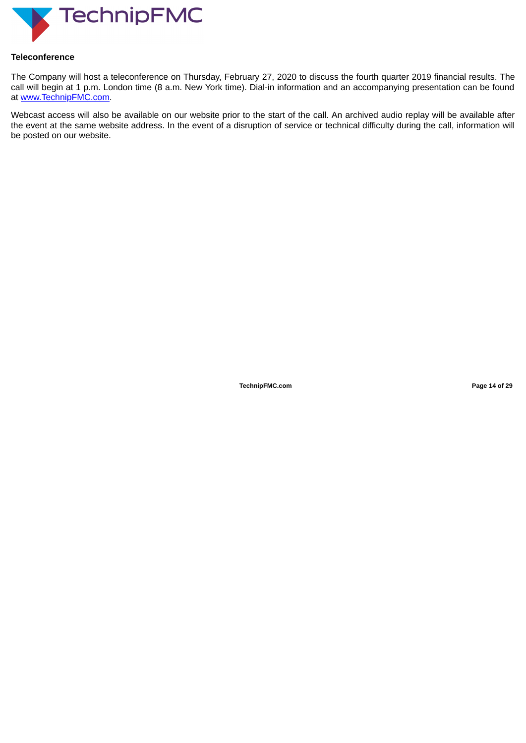

#### **Teleconference**

The Company will host a teleconference on Thursday, February 27, 2020 to discuss the fourth quarter 2019 financial results. The call will begin at 1 p.m. London time (8 a.m. New York time). Dial-in information and an accompanying presentation can be found at www.TechnipFMC.com.

Webcast access will also be available on our website prior to the start of the call. An archived audio replay will be available after the event at the same website address. In the event of a disruption of service or technical difficulty during the call, information will be posted on our website.

**TechnipFMC.com Page 14 of [29](#page-34-0)**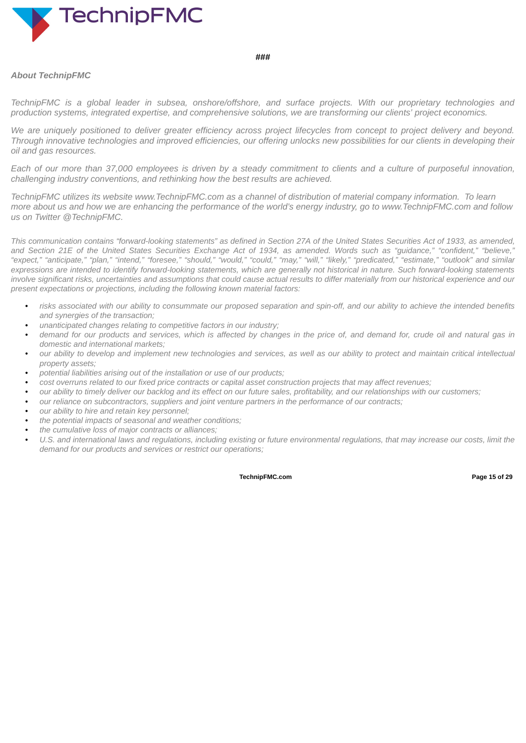

#### **###**

#### *About TechnipFMC*

TechnipFMC is a global leader in subsea, onshore/offshore, and surface projects. With our proprietary technologies and *production systems, integrated expertise, and comprehensive solutions, we are transforming our clients' project economics.*

We are uniquely positioned to deliver greater efficiency across project lifecycles from concept to project delivery and beyond. Through innovative technologies and improved efficiencies, our offering unlocks new possibilities for our clients in developing their *oil and gas resources.*

Each of our more than 37,000 employees is driven by a steady commitment to clients and a culture of purposeful innovation, *challenging industry conventions, and rethinking how the best results are achieved.*

TechnipFMC utilizes its website www.TechnipFMC.com as a channel of distribution of material company information. To learn more about us and how we are enhancing the performance of the world's energy industry, go to www.TechnipFMC.com and follow *us on Twitter @TechnipFMC.*

This communication contains "forward-looking statements" as defined in Section 27A of the United States Securities Act of 1933, as amended, and Section 21E of the United States Securities Exchange Act of 1934, as amended. Words such as "quidance," "confident," "believe," "expect," "anticipate," "plan," "intend," "foresee," "should," "would," "could," "may," "will," "likely," "predicated," "estimate," "outlook" and similar expressions are intended to identify forward-looking statements, which are generally not historical in nature. Such forward-looking statements involve significant risks, uncertainties and assumptions that could cause actual results to differ materially from our historical experience and our *present expectations or projections, including the following known material factors:*

- risks associated with our ability to consummate our proposed separation and spin-off, and our ability to achieve the intended benefits *and synergies of the transaction;*
- *unanticipated changes relating to competitive factors in our industry;*
- demand for our products and services, which is affected by changes in the price of, and demand for, crude oil and natural gas in *domestic and international markets;*
- our ability to develop and implement new technologies and services, as well as our ability to protect and maintain critical intellectual *property assets;*
- *potential liabilities arising out of the installation or use of our products;*
- cost overruns related to our fixed price contracts or capital asset construction projects that may affect revenues;
- our ability to timely deliver our backlog and its effect on our future sales, profitability, and our relationships with our customers;
- *our reliance on subcontractors, suppliers and joint venture partners in the performance of our contracts;*
- *our ability to hire and retain key personnel;*
- *the potential impacts of seasonal and weather conditions;*
- *the cumulative loss of major contracts or alliances;*
- U.S. and international laws and regulations, including existing or future environmental regulations, that may increase our costs, limit the *demand for our products and services or restrict our operations;*

**TechnipFMC.com Page 15 of [29](#page-34-0)**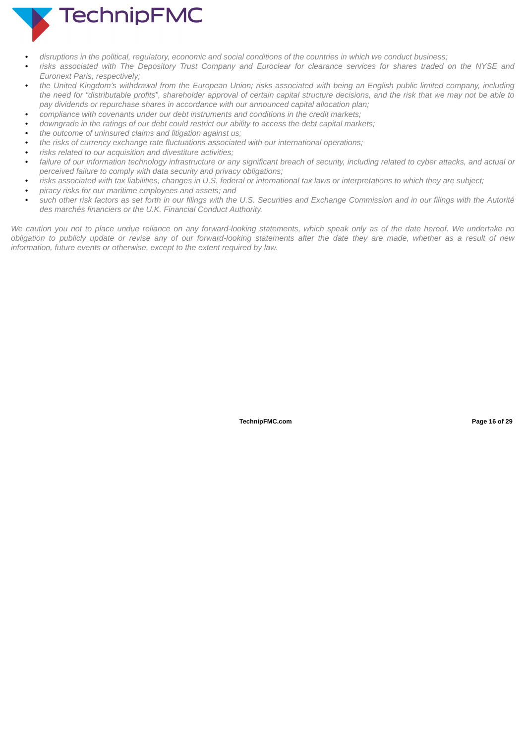

- disruptions in the political, regulatory, economic and social conditions of the countries in which we conduct business;
- risks associated with The Depository Trust Company and Euroclear for clearance services for shares traded on the NYSE and *Euronext Paris, respectively;*
- the United Kingdom's withdrawal from the European Union; risks associated with being an English public limited company, including the need for "distributable profits", shareholder approval of certain capital structure decisions, and the risk that we may not be able to *pay dividends or repurchase shares in accordance with our announced capital allocation plan;*
- *compliance with covenants under our debt instruments and conditions in the credit markets;*
- *downgrade in the ratings of our debt could restrict our ability to access the debt capital markets;*
- *the outcome of uninsured claims and litigation against us;*
- *the risks of currency exchange rate fluctuations associated with our international operations;*
- *risks related to our acquisition and divestiture activities;*
- failure of our information technology infrastructure or any significant breach of security, including related to cyber attacks, and actual or *perceived failure to comply with data security and privacy obligations;*
- risks associated with tax liabilities, changes in U.S. federal or international tax laws or interpretations to which they are subject;
- *piracy risks for our maritime employees and assets; and*
- such other risk factors as set forth in our filings with the U.S. Securities and Exchange Commission and in our filings with the Autorité *des marchés financiers or the U.K. Financial Conduct Authority.*

We caution you not to place undue reliance on any forward-looking statements, which speak only as of the date hereof. We undertake no obligation to publicly update or revise any of our forward-looking statements after the date they are made, whether as a result of new *information, future events or otherwise, except to the extent required by law.*

**TechnipFMC.com Page 16 of [29](#page-34-0)**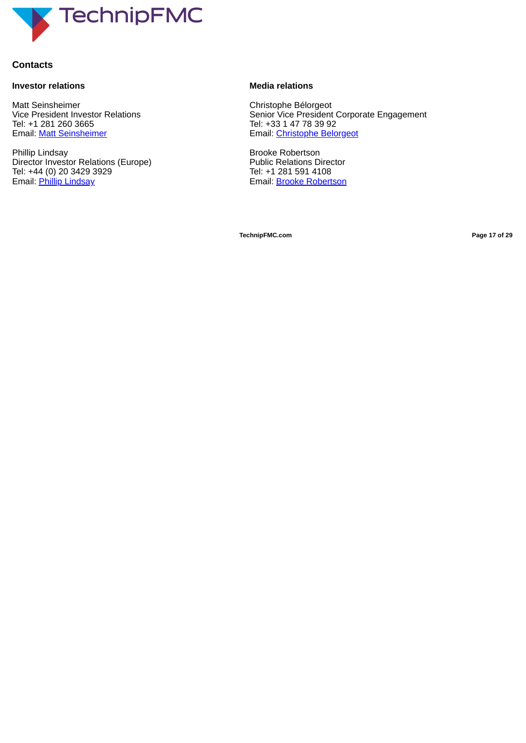

#### **Contacts**

#### **Investor relations**

Matt Seinsheimer Vice President Investor Relations Tel: +1 281 260 3665 Email: Matt Seinsheimer

Phillip Lindsay Director Investor Relations (Europe) Tel: +44 (0) 20 3429 3929 Email: Phillip Lindsay

### **Media relations**

Christophe Bélorgeot Senior Vice President Corporate Engagement Tel: +33 1 47 78 39 92 Email: Christophe Belorgeot

Brooke Robertson Public Relations Director Tel: +1 281 591 4108 Email: Brooke Robertson

**TechnipFMC.com Page 17 of [29](#page-34-0)**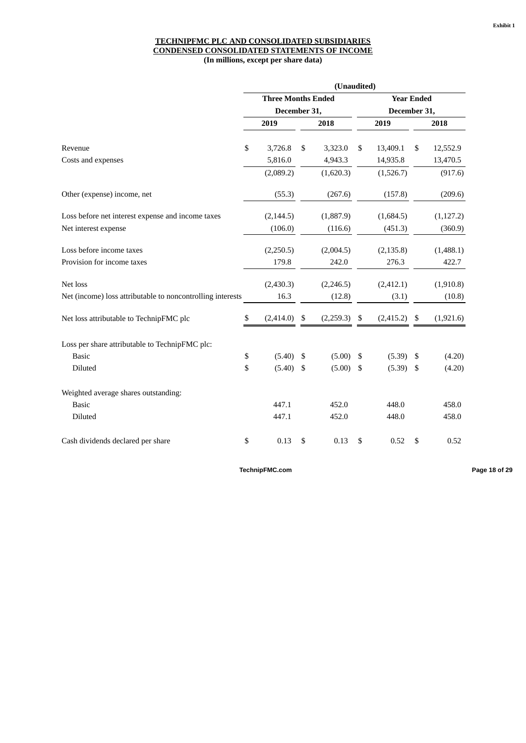#### **TECHNIPFMC PLC AND CONSOLIDATED SUBSIDIARIES CONDENSED CONSOLIDATED STATEMENTS OF INCOME (In millions, except per share data)**

|                                                            | (Unaudited)  |                           |    |                |    |                   |     |            |
|------------------------------------------------------------|--------------|---------------------------|----|----------------|----|-------------------|-----|------------|
|                                                            |              | <b>Three Months Ended</b> |    |                |    | <b>Year Ended</b> |     |            |
|                                                            | December 31, |                           |    | December 31,   |    |                   |     |            |
|                                                            |              | 2019                      |    | 2018           |    | 2019              |     | 2018       |
| Revenue                                                    | \$           | 3,726.8                   | \$ | 3,323.0        | \$ | 13,409.1          | \$  | 12,552.9   |
| Costs and expenses                                         |              | 5,816.0                   |    | 4,943.3        |    | 14,935.8          |     | 13,470.5   |
|                                                            |              | (2,089.2)                 |    | (1,620.3)      |    | (1,526.7)         |     | (917.6)    |
| Other (expense) income, net                                |              | (55.3)                    |    | (267.6)        |    | (157.8)           |     | (209.6)    |
| Loss before net interest expense and income taxes          |              | (2, 144.5)                |    | (1,887.9)      |    | (1,684.5)         |     | (1, 127.2) |
| Net interest expense                                       |              | (106.0)                   |    | (116.6)        |    | (451.3)           |     | (360.9)    |
| Loss before income taxes                                   |              | (2,250.5)                 |    | (2,004.5)      |    | (2, 135.8)        |     | (1,488.1)  |
| Provision for income taxes                                 |              | 179.8                     |    | 242.0          |    | 276.3             |     | 422.7      |
| Net loss                                                   |              | (2,430.3)                 |    | (2,246.5)      |    | (2,412.1)         |     | (1,910.8)  |
| Net (income) loss attributable to noncontrolling interests |              | 16.3                      |    | (12.8)         |    | (3.1)             |     | (10.8)     |
| Net loss attributable to TechnipFMC plc                    | \$           | $(2,414.0)$ \$            |    | $(2,259.3)$ \$ |    | (2, 415.2)        | -\$ | (1,921.6)  |
| Loss per share attributable to TechnipFMC plc:             |              |                           |    |                |    |                   |     |            |
| <b>Basic</b>                                               | \$           | $(5.40)$ \$               |    | (5.00)         | \$ | (5.39)            | \$  | (4.20)     |
| Diluted                                                    | \$           | $(5.40)$ \$               |    | (5.00)         | \$ | (5.39)            | \$  | (4.20)     |
| Weighted average shares outstanding:                       |              |                           |    |                |    |                   |     |            |
| <b>Basic</b>                                               |              | 447.1                     |    | 452.0          |    | 448.0             |     | 458.0      |
| Diluted                                                    |              | 447.1                     |    | 452.0          |    | 448.0             |     | 458.0      |
| Cash dividends declared per share                          | \$           | 0.13                      | \$ | 0.13           | \$ | 0.52              | \$  | 0.52       |

**TechnipFMC.com Page 18 of [29](#page-34-0)**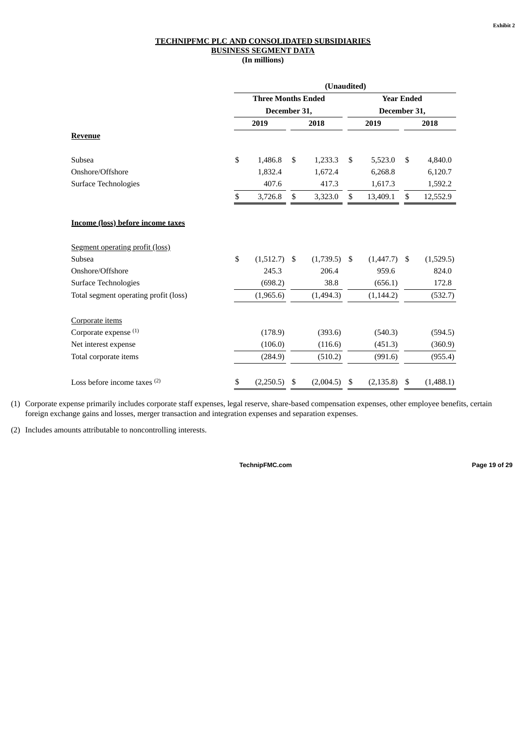#### **TECHNIPFMC PLC AND CONSOLIDATED SUBSIDIARIES BUSINESS SEGMENT DATA (In millions)**

|                                          | (Unaudited)               |    |           |    |                   |    |           |  |
|------------------------------------------|---------------------------|----|-----------|----|-------------------|----|-----------|--|
|                                          | <b>Three Months Ended</b> |    |           |    | <b>Year Ended</b> |    |           |  |
|                                          | December 31,              |    |           |    | December 31,      |    |           |  |
|                                          | 2019                      |    | 2018      |    | 2019              |    | 2018      |  |
| <b>Revenue</b>                           |                           |    |           |    |                   |    |           |  |
| Subsea                                   | \$<br>1,486.8             | \$ | 1,233.3   | \$ | 5,523.0           | \$ | 4,840.0   |  |
| Onshore/Offshore                         | 1,832.4                   |    | 1,672.4   |    | 6,268.8           |    | 6,120.7   |  |
| Surface Technologies                     | 407.6                     |    | 417.3     |    | 1,617.3           |    | 1,592.2   |  |
|                                          | \$<br>3,726.8             | \$ | 3,323.0   | \$ | 13,409.1          | \$ | 12,552.9  |  |
| <b>Income (loss) before income taxes</b> |                           |    |           |    |                   |    |           |  |
| Segment operating profit (loss)          |                           |    |           |    |                   |    |           |  |
| Subsea                                   | \$<br>(1,512.7)           | \$ | (1,739.5) | \$ | (1,447.7)         | \$ | (1,529.5) |  |
| Onshore/Offshore                         | 245.3                     |    | 206.4     |    | 959.6             |    | 824.0     |  |
| Surface Technologies                     | (698.2)                   |    | 38.8      |    | (656.1)           |    | 172.8     |  |
| Total segment operating profit (loss)    | (1,965.6)                 |    | (1,494.3) |    | (1, 144.2)        |    | (532.7)   |  |
| Corporate items                          |                           |    |           |    |                   |    |           |  |
| Corporate expense (1)                    | (178.9)                   |    | (393.6)   |    | (540.3)           |    | (594.5)   |  |
| Net interest expense                     | (106.0)                   |    | (116.6)   |    | (451.3)           |    | (360.9)   |  |
| Total corporate items                    | (284.9)                   |    | (510.2)   |    | (991.6)           |    | (955.4)   |  |
| Loss before income taxes (2)             | \$<br>(2,250.5)           | \$ | (2,004.5) | \$ | (2, 135.8)        | \$ | (1,488.1) |  |

(1) Corporate expense primarily includes corporate staff expenses, legal reserve, share-based compensation expenses, other employee benefits, certain foreign exchange gains and losses, merger transaction and integration expenses and separation expenses.

(2) Includes amounts attributable to noncontrolling interests.

**TechnipFMC.com Page 19 of [29](#page-34-0)**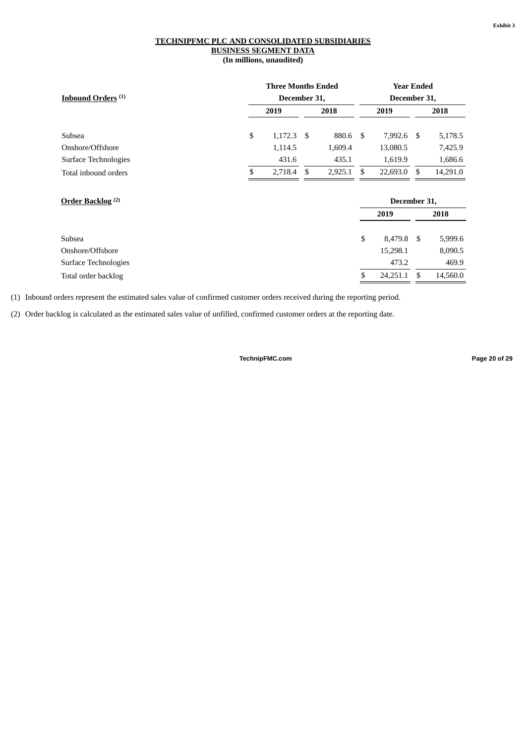#### **TECHNIPFMC PLC AND CONSOLIDATED SUBSIDIARIES BUSINESS SEGMENT DATA (In millions, unaudited)**

|                               |      | <b>Three Months Ended</b> | <b>Year Ended</b><br>December 31, |         |     |              |      |          |
|-------------------------------|------|---------------------------|-----------------------------------|---------|-----|--------------|------|----------|
| Inbound Orders <sup>(1)</sup> |      | December 31,              |                                   |         |     |              |      |          |
|                               | 2019 |                           |                                   | 2018    |     | 2019         | 2018 |          |
| Subsea                        | \$   | $1,172.3$ \$              |                                   | 880.6   | -\$ | 7,992.6      | - \$ | 5,178.5  |
| Onshore/Offshore              |      | 1,114.5                   |                                   | 1,609.4 |     | 13,080.5     |      | 7,425.9  |
| Surface Technologies          |      | 431.6                     |                                   | 435.1   |     | 1,619.9      |      | 1,686.6  |
| Total inbound orders          | \$.  | 2,718.4                   | \$                                | 2,925.1 | \$  | 22,693.0     | \$   | 14,291.0 |
| Order Backlog <sup>(2)</sup>  |      |                           |                                   |         |     | December 31, |      |          |
|                               |      |                           |                                   |         |     | 2019         |      | 2018     |
| Subsea                        |      |                           |                                   |         | \$  | 8,479.8      | - \$ | 5,999.6  |

| Subsea               | 8.479.8 \$  | 5,999.6  |
|----------------------|-------------|----------|
| Onshore/Offshore     | 15.298.1    | 8,090.5  |
| Surface Technologies | 473.2       | 469.9    |
| Total order backlog  | 24,251.1 \$ | 14,560.0 |

(1) Inbound orders represent the estimated sales value of confirmed customer orders received during the reporting period.

(2) Order backlog is calculated as the estimated sales value of unfilled, confirmed customer orders at the reporting date.

**TechnipFMC.com Page 20 of [29](#page-34-0)**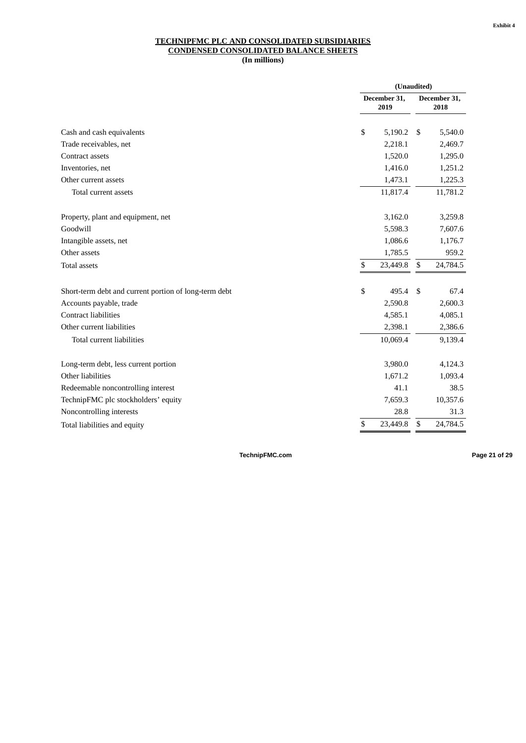#### **Exhibit 4**

#### **TECHNIPFMC PLC AND CONSOLIDATED SUBSIDIARIES CONDENSED CONSOLIDATED BALANCE SHEETS (In millions)**

|                                                       | (Unaudited)          |               |                      |  |  |
|-------------------------------------------------------|----------------------|---------------|----------------------|--|--|
|                                                       | December 31,<br>2019 |               | December 31,<br>2018 |  |  |
| Cash and cash equivalents                             | \$<br>5,190.2        | \$            | 5,540.0              |  |  |
| Trade receivables, net                                | 2,218.1              |               | 2,469.7              |  |  |
| Contract assets                                       | 1,520.0              |               | 1,295.0              |  |  |
| Inventories, net                                      | 1,416.0              |               | 1,251.2              |  |  |
| Other current assets                                  | 1,473.1              |               | 1,225.3              |  |  |
| Total current assets                                  | 11,817.4             |               | 11,781.2             |  |  |
| Property, plant and equipment, net                    | 3,162.0              |               | 3,259.8              |  |  |
| Goodwill                                              | 5,598.3              |               | 7,607.6              |  |  |
| Intangible assets, net                                | 1,086.6              |               | 1,176.7              |  |  |
| Other assets                                          | 1,785.5              |               | 959.2                |  |  |
| <b>Total assets</b>                                   | \$<br>23,449.8       | \$            | 24,784.5             |  |  |
| Short-term debt and current portion of long-term debt | \$<br>495.4          | <sup>\$</sup> | 67.4                 |  |  |
| Accounts payable, trade                               | 2,590.8              |               | 2,600.3              |  |  |
| <b>Contract liabilities</b>                           | 4,585.1              |               | 4,085.1              |  |  |
| Other current liabilities                             | 2,398.1              |               | 2,386.6              |  |  |
| Total current liabilities                             | 10,069.4             |               | 9,139.4              |  |  |
| Long-term debt, less current portion                  | 3,980.0              |               | 4,124.3              |  |  |
| Other liabilities                                     | 1,671.2              |               | 1,093.4              |  |  |
| Redeemable noncontrolling interest                    | 41.1                 |               | 38.5                 |  |  |
| TechnipFMC plc stockholders' equity                   | 7,659.3              |               | 10,357.6             |  |  |
| Noncontrolling interests                              | 28.8                 |               | 31.3                 |  |  |
| Total liabilities and equity                          | \$<br>23,449.8       | \$            | 24,784.5             |  |  |

**TechnipFMC.com Page 21 of [29](#page-34-0)**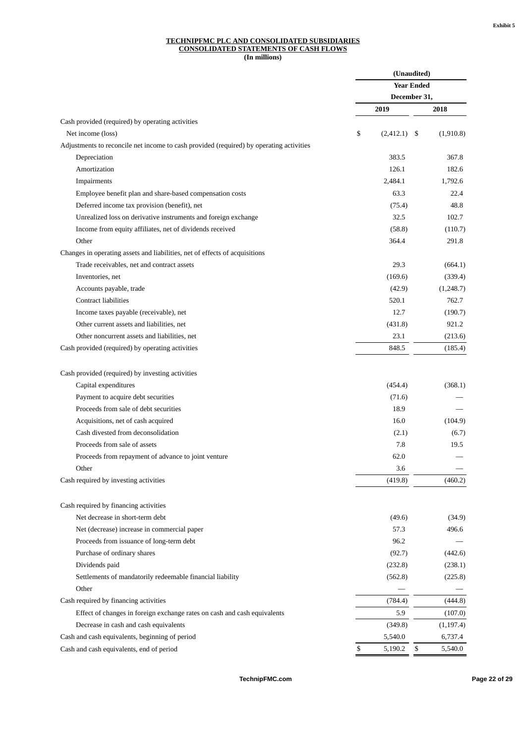#### **TECHNIPFMC PLC AND CONSOLIDATED SUBSIDIARIES CONSOLIDATED STATEMENTS OF CASH FLOWS (In millions)**

|                                                                                         | (Unaudited) |                   |     |            |  |  |
|-----------------------------------------------------------------------------------------|-------------|-------------------|-----|------------|--|--|
|                                                                                         |             | <b>Year Ended</b> |     |            |  |  |
|                                                                                         |             | December 31,      |     |            |  |  |
|                                                                                         |             | 2019              |     | 2018       |  |  |
| Cash provided (required) by operating activities                                        |             |                   |     |            |  |  |
| Net income (loss)                                                                       | \$          | (2,412.1)         | -\$ | (1,910.8)  |  |  |
| Adjustments to reconcile net income to cash provided (required) by operating activities |             |                   |     |            |  |  |
| Depreciation                                                                            |             | 383.5             |     | 367.8      |  |  |
| Amortization                                                                            |             | 126.1             |     | 182.6      |  |  |
| Impairments                                                                             |             | 2,484.1           |     | 1,792.6    |  |  |
| Employee benefit plan and share-based compensation costs                                |             | 63.3              |     | 22.4       |  |  |
| Deferred income tax provision (benefit), net                                            |             | (75.4)            |     | 48.8       |  |  |
| Unrealized loss on derivative instruments and foreign exchange                          |             | 32.5              |     | 102.7      |  |  |
| Income from equity affiliates, net of dividends received                                |             | (58.8)            |     | (110.7)    |  |  |
| Other                                                                                   |             | 364.4             |     | 291.8      |  |  |
| Changes in operating assets and liabilities, net of effects of acquisitions             |             |                   |     |            |  |  |
| Trade receivables, net and contract assets                                              |             | 29.3              |     | (664.1)    |  |  |
| Inventories, net                                                                        |             | (169.6)           |     | (339.4)    |  |  |
| Accounts payable, trade                                                                 |             | (42.9)            |     | (1,248.7)  |  |  |
| <b>Contract liabilities</b>                                                             |             | 520.1             |     | 762.7      |  |  |
| Income taxes payable (receivable), net                                                  |             | 12.7              |     | (190.7)    |  |  |
| Other current assets and liabilities, net                                               |             | (431.8)           |     | 921.2      |  |  |
| Other noncurrent assets and liabilities, net                                            |             | 23.1              |     | (213.6)    |  |  |
| Cash provided (required) by operating activities                                        |             | 848.5             |     | (185.4)    |  |  |
|                                                                                         |             |                   |     |            |  |  |
| Cash provided (required) by investing activities                                        |             |                   |     |            |  |  |
| Capital expenditures                                                                    |             | (454.4)           |     | (368.1)    |  |  |
| Payment to acquire debt securities                                                      |             | (71.6)            |     |            |  |  |
| Proceeds from sale of debt securities                                                   |             | 18.9              |     |            |  |  |
| Acquisitions, net of cash acquired                                                      |             | 16.0              |     | (104.9)    |  |  |
| Cash divested from deconsolidation                                                      |             | (2.1)             |     | (6.7)      |  |  |
| Proceeds from sale of assets                                                            |             | 7.8               |     | 19.5       |  |  |
| Proceeds from repayment of advance to joint venture                                     |             | 62.0              |     |            |  |  |
| Other                                                                                   |             | 3.6               |     |            |  |  |
| Cash required by investing activities                                                   |             | (419.8)           |     | (460.2)    |  |  |
| Cash required by financing activities                                                   |             |                   |     |            |  |  |
| Net decrease in short-term debt                                                         |             | (49.6)            |     | (34.9)     |  |  |
| Net (decrease) increase in commercial paper                                             |             | 57.3              |     | 496.6      |  |  |
| Proceeds from issuance of long-term debt                                                |             | 96.2              |     |            |  |  |
| Purchase of ordinary shares                                                             |             | (92.7)            |     | (442.6)    |  |  |
| Dividends paid                                                                          |             | (232.8)           |     | (238.1)    |  |  |
| Settlements of mandatorily redeemable financial liability                               |             | (562.8)           |     | (225.8)    |  |  |
| Other                                                                                   |             |                   |     |            |  |  |
| Cash required by financing activities                                                   |             | (784.4)           |     | (444.8)    |  |  |
| Effect of changes in foreign exchange rates on cash and cash equivalents                |             | 5.9               |     | (107.0)    |  |  |
| Decrease in cash and cash equivalents                                                   |             | (349.8)           |     | (1, 197.4) |  |  |
| Cash and cash equivalents, beginning of period                                          |             | 5,540.0           |     | 6,737.4    |  |  |
| Cash and cash equivalents, end of period                                                | \$          | 5,190.2           | \$  | 5,540.0    |  |  |
|                                                                                         |             |                   |     |            |  |  |

**TechnipFMC.com Page 22 of [29](#page-34-0)**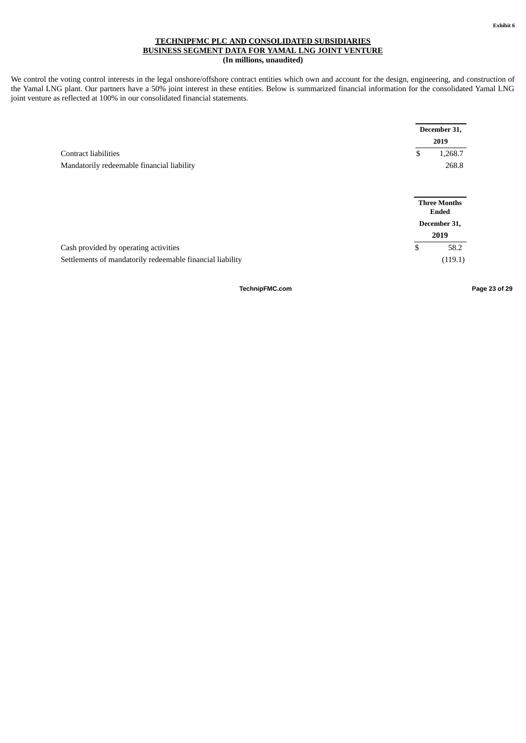#### **TECHNIPFMC PLC AND CONSOLIDATED SUBSIDIARIES BUSINESS SEGMENT DATA FOR YAMAL LNG JOINT VENTURE (In millions, unaudited)**

We control the voting control interests in the legal onshore/offshore contract entities which own and account for the design, engineering, and construction of the Yamal LNG plant. Our partners have a 50% joint interest in these entities. Below is summarized financial information for the consolidated Yamal LNG joint venture as reflected at 100% in our consolidated financial statements.

|                                                           | December 31,                 |
|-----------------------------------------------------------|------------------------------|
|                                                           | 2019                         |
| Contract liabilities                                      | \$<br>1,268.7                |
| Mandatorily redeemable financial liability                | 268.8                        |
|                                                           |                              |
|                                                           | <b>Three Months</b><br>Ended |
|                                                           | December 31,                 |
|                                                           | 2019                         |
| Cash provided by operating activities                     | \$<br>58.2                   |
| Settlements of mandatorily redeemable financial liability | (119.1)                      |

**TechnipFMC.com Page 23 of [29](#page-34-0)**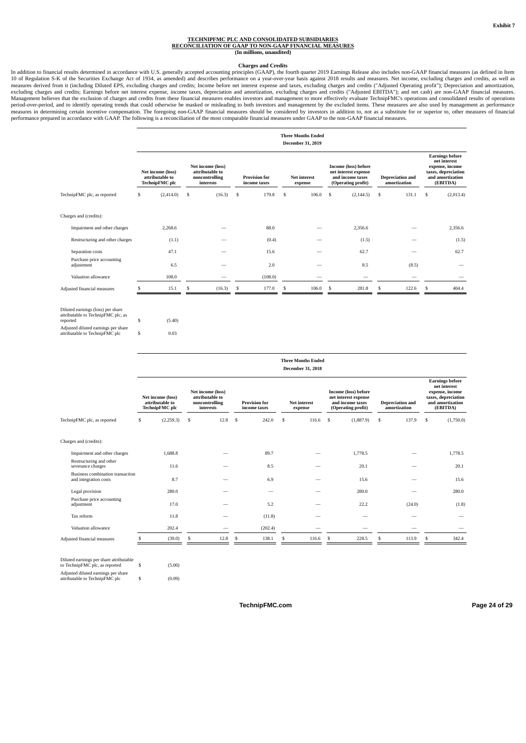#### **TECHNIPFMC PLC AND CONSOLIDATED SUBSIDIARIES RECONCILIATION OF GAAP TO NON-GAAP FINANCIAL MEASURES (In millions, unaudited)**

Charges and Credits<br>In addition to financial results determined in accordance with U.S. generally accepted accounting principles (GAAP), the fourth quarter 2019 Earnings Release also includes non-GAAP financial measures (a 10 of Regulation S-K of the Securities Exchange Act of 1934, as amended) and describes performance on a year-over-year basis against 2018 results and measures. Net income, excluding charges and credits, as well as measures derived from it (including Diluted EPS, excluding charges and credits; Income before net interest expense and taxes, excluding charges and credits ("Adjusted Operating profit"); Depreciation and amortization, excl Management believes that the exclusion of charges and credits from these financial measures enables investors and management to more effectively evaluate TechnipFMC's operations and consolidated results of operations period-over-period, and to identify operating trends that could otherwise be masked or misleading to both investors and management by the excluded items. These measures are also used by management as performance<br>measures i performance prepared in accordance with GAAP. The following is a reconciliation of the most comparable financial measures under GAAP to the non-GAAP financial measures.

|                                         |                                                        |           |                                                                     |        |    |                                      |    | <b>Three Months Ended</b><br><b>December 31, 2019</b> |    |                                                                                               |   |                                         |    |                                                                                                                  |  |
|-----------------------------------------|--------------------------------------------------------|-----------|---------------------------------------------------------------------|--------|----|--------------------------------------|----|-------------------------------------------------------|----|-----------------------------------------------------------------------------------------------|---|-----------------------------------------|----|------------------------------------------------------------------------------------------------------------------|--|
|                                         | Net income (loss)<br>attributable to<br>TechnipFMC plc |           | Net income (loss)<br>attributable to<br>noncontrolling<br>interests |        |    | <b>Provision for</b><br>income taxes |    | <b>Net interest</b><br>expense                        |    | <b>Income (loss) before</b><br>net interest expense<br>and income taxes<br>(Operating profit) |   | <b>Depreciation and</b><br>amortization |    | <b>Earnings before</b><br>net interest<br>expense, income<br>taxes, depreciation<br>and amortization<br>(EBITDA) |  |
| TechnipFMC plc, as reported             | \$                                                     | (2,414.0) | s                                                                   | (16.3) | \$ | 179.8                                | \$ | 106.0                                                 | \$ | (2, 144.5)                                                                                    | S | 131.1                                   | S  | (2,013.4)                                                                                                        |  |
| Charges and (credits):                  |                                                        |           |                                                                     |        |    |                                      |    |                                                       |    |                                                                                               |   |                                         |    |                                                                                                                  |  |
| Impairment and other charges            |                                                        | 2,268.6   |                                                                     |        |    | 88.0                                 |    |                                                       |    | 2,356.6                                                                                       |   |                                         |    | 2,356.6                                                                                                          |  |
| Restructuring and other charges         |                                                        | (1.1)     |                                                                     |        |    | (0.4)                                |    |                                                       |    | (1.5)                                                                                         |   |                                         |    | (1.5)                                                                                                            |  |
| Separation costs                        |                                                        | 47.1      |                                                                     |        |    | 15.6                                 |    |                                                       |    | 62.7                                                                                          |   |                                         |    | 62.7                                                                                                             |  |
| Purchase price accounting<br>adjustment |                                                        | 6.5       |                                                                     |        |    | 2.0                                  |    |                                                       |    | 8.5                                                                                           |   | (8.5)                                   |    |                                                                                                                  |  |
| Valuation allowance                     |                                                        | 108.0     |                                                                     |        |    | (108.0)                              |    |                                                       |    |                                                                                               |   |                                         |    |                                                                                                                  |  |
| Adjusted financial measures             |                                                        | 15.1      | S                                                                   | (16.3) | S  | 177.0                                | S  | 106.0                                                 | £. | 281.8                                                                                         |   | 122.6                                   | \$ | 404.4                                                                                                            |  |

| Diluted earnings (loss) per share              |   |        |
|------------------------------------------------|---|--------|
| attributable to TechnipFMC plc, as<br>reported | S | (5.40) |
| Adjusted diluted earnings per share            |   |        |
| attributable to TechnipFMC plc                 |   | 0.03   |

|                                                           |                                                               |                                                                     |                                      | <b>Three Months Ended</b>      |                                                                                               |                                         |                                                                                                                  |
|-----------------------------------------------------------|---------------------------------------------------------------|---------------------------------------------------------------------|--------------------------------------|--------------------------------|-----------------------------------------------------------------------------------------------|-----------------------------------------|------------------------------------------------------------------------------------------------------------------|
|                                                           |                                                               |                                                                     |                                      | December 31, 2018              |                                                                                               |                                         |                                                                                                                  |
|                                                           | Net income (loss)<br>attributable to<br><b>TechnipFMC</b> plc | Net income (loss)<br>attributable to<br>noncontrolling<br>interests | <b>Provision for</b><br>income taxes | <b>Net interest</b><br>expense | <b>Income (loss) before</b><br>net interest expense<br>and income taxes<br>(Operating profit) | <b>Depreciation</b> and<br>amortization | <b>Earnings before</b><br>net interest<br>expense, income<br>taxes, depreciation<br>and amortization<br>(EBITDA) |
| TechnipFMC plc, as reported                               | (2,259.3)<br>\$                                               | 12.8<br>\$                                                          | 242.0<br>S                           | 116.6<br>s                     | (1,887.9)<br>S                                                                                | 137.9<br>S                              | (1,750.0)<br><sup>\$</sup>                                                                                       |
| Charges and (credits):                                    |                                                               |                                                                     |                                      |                                |                                                                                               |                                         |                                                                                                                  |
| Impairment and other charges                              | 1,688.8                                                       |                                                                     | 89.7                                 |                                | 1,778.5                                                                                       |                                         | 1,778.5                                                                                                          |
| Restructuring and other<br>severance charges              | 11.6                                                          |                                                                     | 8.5                                  |                                | 20.1                                                                                          |                                         | 20.1                                                                                                             |
| Business combination transaction<br>and integration costs | 8.7                                                           |                                                                     | 6.9                                  |                                | 15.6                                                                                          |                                         | 15.6                                                                                                             |
| Legal provision                                           | 280.0                                                         |                                                                     |                                      |                                | 280.0                                                                                         |                                         | 280.0                                                                                                            |
| Purchase price accounting<br>adjustment                   | 17.0                                                          |                                                                     | 5.2                                  |                                | 22.2                                                                                          | (24.0)                                  | (1.8)                                                                                                            |
| Tax reform                                                | 11.8                                                          |                                                                     | (11.8)                               |                                |                                                                                               |                                         |                                                                                                                  |
| Valuation allowance                                       | 202.4                                                         |                                                                     | (202.4)                              |                                |                                                                                               |                                         |                                                                                                                  |
| Adjusted financial measures                               | (39.0)                                                        | 12.8<br>£.                                                          | 138.1<br>£.                          | 116.6<br>s                     | 228.5<br>S                                                                                    | 113.9<br>S                              | 342.4<br>£.                                                                                                      |

| Diluted earnings per share attributable<br>to TechnipFMC plc, as reported |   | (5.00) |
|---------------------------------------------------------------------------|---|--------|
| Adjusted diluted earnings per share<br>attributable to TechnipFMC plc     | S | (0.09) |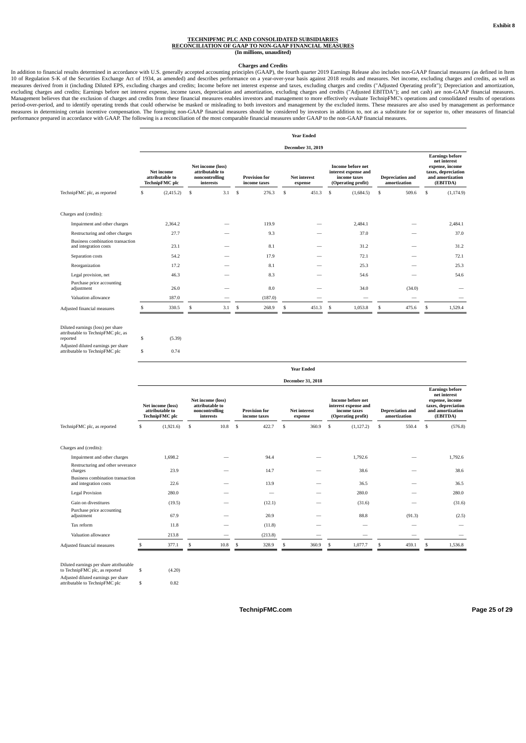#### **TECHNIPFMC PLC AND CONSOLIDATED SUBSIDIARIES RECONCILIATION OF GAAP TO NON-GAAP FINANCIAL MEASURES (In millions, unaudited)**

Charges and Credits<br>In addition to financial results determined in accordance with U.S. generally accepted accounting principles (GAAP), the fourth quarter 2019 Earnings Release also includes non-GAAP financial measures (a 10 of Regulation S-K of the Securities Exchange Act of 1934, as amended) and describes performance on a year-over-year basis against 2018 results and measures. Net income, excluding charges and credits, as well as measures derived from it (including Diluted EPS, excluding charges and credits; Income before net interest expense and taxes, excluding charges and credits ("Adjusted Operating profit"); Depreciation and amortization, excl Management believes that the exclusion of charges and credits from these financial measures enables investors and management to more effectively evaluate TechnipFMC's operations and consolidated results of operations period-over-period, and to identify operating trends that could otherwise be masked or misleading to both investors and management by the excluded items. These measures are also used by management as performance<br>measures i performance prepared in accordance with GAAP. The following is a reconciliation of the most comparable financial measures under GAAP to the non-GAAP financial measures.

|                                                           |                                                                                                                               |   |     |                                                                 |         |   | <b>Year Ended</b> |    |                                                                                        |                                         |        |                                                                                                                  |            |
|-----------------------------------------------------------|-------------------------------------------------------------------------------------------------------------------------------|---|-----|-----------------------------------------------------------------|---------|---|-------------------|----|----------------------------------------------------------------------------------------|-----------------------------------------|--------|------------------------------------------------------------------------------------------------------------------|------------|
|                                                           |                                                                                                                               |   |     |                                                                 |         |   | December 31, 2019 |    |                                                                                        |                                         |        |                                                                                                                  |            |
|                                                           | Net income (loss)<br>Net income<br>attributable to<br>attributable to<br>noncontrolling<br><b>TechnipFMC</b> plc<br>interests |   |     | <b>Provision for</b><br>Net interest<br>income taxes<br>expense |         |   |                   |    | <b>Income before net</b><br>interest expense and<br>income taxes<br>(Operating profit) | <b>Depreciation</b> and<br>amortization |        | <b>Earnings before</b><br>net interest<br>expense, income<br>taxes, depreciation<br>and amortization<br>(EBITDA) |            |
| TechnipFMC plc, as reported                               | S<br>(2, 415.2)                                                                                                               | S | 3.1 | -S                                                              | 276.3   | Ŝ | 451.3             | \$ | (1,684.5)                                                                              | S                                       | 509.6  | \$                                                                                                               | (1, 174.9) |
| Charges and (credits):                                    |                                                                                                                               |   |     |                                                                 |         |   |                   |    |                                                                                        |                                         |        |                                                                                                                  |            |
| Impairment and other charges                              | 2.364.2                                                                                                                       |   |     |                                                                 | 119.9   |   |                   |    | 2,484.1                                                                                |                                         |        |                                                                                                                  | 2,484.1    |
| Restructuring and other charges                           | 27.7                                                                                                                          |   |     |                                                                 | 9.3     |   |                   |    | 37.0                                                                                   |                                         |        |                                                                                                                  | 37.0       |
| Business combination transaction<br>and integration costs | 23.1                                                                                                                          |   |     |                                                                 | 8.1     |   |                   |    | 31.2                                                                                   |                                         |        |                                                                                                                  | 31.2       |
| Separation costs                                          | 54.2                                                                                                                          |   |     |                                                                 | 17.9    |   |                   |    | 72.1                                                                                   |                                         |        |                                                                                                                  | 72.1       |
| Reorganization                                            | 17.2                                                                                                                          |   |     |                                                                 | 8.1     |   |                   |    | 25.3                                                                                   |                                         |        |                                                                                                                  | 25.3       |
| Legal provision, net                                      | 46.3                                                                                                                          |   |     |                                                                 | 8.3     |   |                   |    | 54.6                                                                                   |                                         |        |                                                                                                                  | 54.6       |
| Purchase price accounting<br>adjustment                   | 26.0                                                                                                                          |   |     |                                                                 | 8.0     |   |                   |    | 34.0                                                                                   |                                         | (34.0) |                                                                                                                  |            |
| Valuation allowance                                       | 187.0                                                                                                                         |   |     |                                                                 | (187.0) |   |                   |    |                                                                                        |                                         |        |                                                                                                                  |            |
| Adjusted financial measures                               | 330.5                                                                                                                         |   | 3.1 | S                                                               | 268.9   | S | 451.3             | \$ | 1,053.8                                                                                | S                                       | 475.6  | S                                                                                                                | 1,529.4    |

| Diffred earnings (1055) per sitate<br>attributable to TechnipFMC plc, as |    |        |
|--------------------------------------------------------------------------|----|--------|
| reported                                                                 | S  | (5.39) |
| Adjusted diluted earnings per share                                      |    |        |
| attributable to TechnipFMC plc                                           | \$ | 0.74   |

|                                                           |   |                                                        |                                                                     |      |     |                                      |    | <b>Year Ended</b>              |                                                                                        |            |                                         |        |                                                                                                                  |         |
|-----------------------------------------------------------|---|--------------------------------------------------------|---------------------------------------------------------------------|------|-----|--------------------------------------|----|--------------------------------|----------------------------------------------------------------------------------------|------------|-----------------------------------------|--------|------------------------------------------------------------------------------------------------------------------|---------|
|                                                           |   |                                                        |                                                                     |      |     |                                      |    | <b>December 31, 2018</b>       |                                                                                        |            |                                         |        |                                                                                                                  |         |
|                                                           |   | Net income (loss)<br>attributable to<br>TechnipFMC plc | Net income (loss)<br>attributable to<br>noncontrolling<br>interests |      |     | <b>Provision for</b><br>income taxes |    | <b>Net interest</b><br>expense | <b>Income before net</b><br>interest expense and<br>income taxes<br>(Operating profit) |            | <b>Depreciation</b> and<br>amortization |        | <b>Earnings before</b><br>net interest<br>expense, income<br>taxes, depreciation<br>and amortization<br>(EBITDA) |         |
| TechnipFMC plc, as reported                               | S | (1,921.6)                                              | \$                                                                  | 10.8 | \$  | 422.7                                | S  | 360.9                          | \$                                                                                     | (1, 127.2) | s                                       | 550.4  | \$                                                                                                               | (576.8) |
| Charges and (credits):                                    |   |                                                        |                                                                     |      |     |                                      |    |                                |                                                                                        |            |                                         |        |                                                                                                                  |         |
| Impairment and other charges                              |   | 1,698.2                                                |                                                                     |      |     | 94.4                                 |    |                                |                                                                                        | 1,792.6    |                                         |        |                                                                                                                  | 1,792.6 |
| Restructuring and other severance<br>charges              |   | 23.9                                                   |                                                                     |      |     | 14.7                                 |    |                                |                                                                                        | 38.6       |                                         |        |                                                                                                                  | 38.6    |
| Business combination transaction<br>and integration costs |   | 22.6                                                   |                                                                     |      |     | 13.9                                 |    |                                |                                                                                        | 36.5       |                                         |        |                                                                                                                  | 36.5    |
| <b>Legal Provision</b>                                    |   | 280.0                                                  |                                                                     |      |     |                                      |    | --                             |                                                                                        | 280.0      |                                         |        |                                                                                                                  | 280.0   |
| Gain on divestitures                                      |   | (19.5)                                                 |                                                                     |      |     | (12.1)                               |    |                                |                                                                                        | (31.6)     |                                         |        |                                                                                                                  | (31.6)  |
| Purchase price accounting<br>adjustment                   |   | 67.9                                                   |                                                                     |      |     | 20.9                                 |    |                                |                                                                                        | 88.8       |                                         | (91.3) |                                                                                                                  | (2.5)   |
| Tax reform                                                |   | 11.8                                                   |                                                                     |      |     | (11.8)                               |    |                                |                                                                                        |            |                                         |        |                                                                                                                  |         |
| Valuation allowance                                       |   | 213.8                                                  |                                                                     |      |     | (213.8)                              |    |                                |                                                                                        |            |                                         |        |                                                                                                                  |         |
| Adjusted financial measures                               |   | 377.1                                                  | \$                                                                  | 10.8 | \$. | 328.9                                | S. | 360.9                          | \$.                                                                                    | 1,077.7    | Ś                                       | 459.1  | \$.                                                                                                              | 1,536.8 |

| Diluted earnings per share attributable<br>to TechnipFMC plc, as reported | s | (4.20) |
|---------------------------------------------------------------------------|---|--------|
| Adjusted diluted earnings per share<br>attributable to TechnipFMC plc     | S | 0.82   |

**TechnipFMC.com Page 25 of [29](#page-34-0)**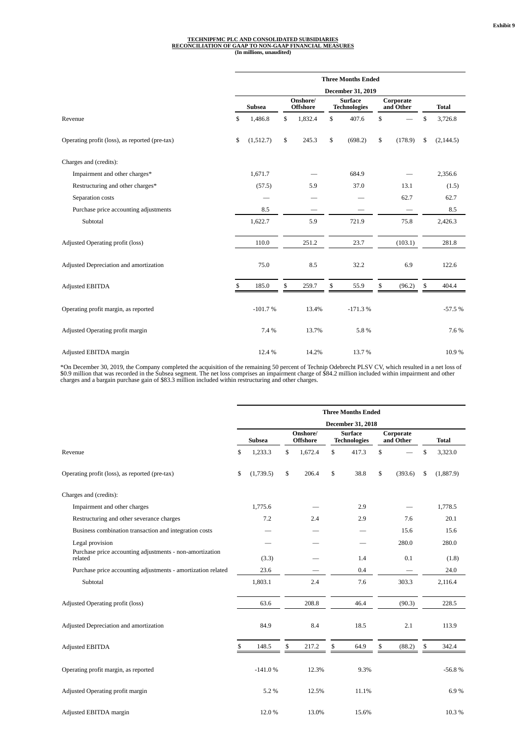# TECHNIPFMC PLC AND CONSOLIDATED SUBSIDIARIES<br>RECONCILIATION OF GAAP TO NON-GAAP FINANCIAL MEASURES<br>(In millions, unaudited)

|                                                | <b>Three Months Ended</b> |    |                             |    |                                       |    |                        |    |              |
|------------------------------------------------|---------------------------|----|-----------------------------|----|---------------------------------------|----|------------------------|----|--------------|
|                                                |                           |    |                             |    | <b>December 31, 2019</b>              |    |                        |    |              |
|                                                | <b>Subsea</b>             |    | Onshore/<br><b>Offshore</b> |    | <b>Surface</b><br><b>Technologies</b> |    | Corporate<br>and Other |    | <b>Total</b> |
| Revenue                                        | \$<br>1,486.8             | \$ | 1,832.4                     | \$ | 407.6                                 | \$ |                        | \$ | 3,726.8      |
| Operating profit (loss), as reported (pre-tax) | \$<br>(1,512.7)           | \$ | 245.3                       | \$ | (698.2)                               | \$ | (178.9)                | \$ | (2, 144.5)   |
| Charges and (credits):                         |                           |    |                             |    |                                       |    |                        |    |              |
| Impairment and other charges*                  | 1,671.7                   |    |                             |    | 684.9                                 |    |                        |    | 2,356.6      |
| Restructuring and other charges*               | (57.5)                    |    | 5.9                         |    | 37.0                                  |    | 13.1                   |    | (1.5)        |
| Separation costs                               |                           |    |                             |    |                                       |    | 62.7                   |    | 62.7         |
| Purchase price accounting adjustments          | 8.5                       |    |                             |    |                                       |    |                        |    | 8.5          |
| Subtotal                                       | 1,622.7                   |    | 5.9                         |    | 721.9                                 |    | 75.8                   |    | 2,426.3      |
| Adjusted Operating profit (loss)               | 110.0                     |    | 251.2                       |    | 23.7                                  |    | (103.1)                |    | 281.8        |
| Adjusted Depreciation and amortization         | 75.0                      |    | 8.5                         |    | 32.2                                  |    | 6.9                    |    | 122.6        |
| <b>Adjusted EBITDA</b>                         | \$<br>185.0               | \$ | 259.7                       | \$ | 55.9                                  | \$ | (96.2)                 | \$ | 404.4        |
| Operating profit margin, as reported           | $-101.7%$                 |    | 13.4%                       |    | $-171.3%$                             |    |                        |    | $-57.5%$     |
| Adjusted Operating profit margin               | 7.4%                      |    | 13.7%                       |    | 5.8%                                  |    |                        |    | 7.6%         |
| Adjusted EBITDA margin                         | 12.4%                     |    | 14.2%                       |    | 13.7%                                 |    |                        |    | 10.9%        |

\*On December 30, 2019, the Company completed the acquisition of the remaining 50 percent of Technip Odebrecht PLSV CV, which resulted in a net loss of<br>\$0.9 million that was recorded in the Subsea segment. The net loss comp

|                                                                     |                          |               |    |                             |    | <b>Three Months Ended</b>             |    |                        |    |              |  |
|---------------------------------------------------------------------|--------------------------|---------------|----|-----------------------------|----|---------------------------------------|----|------------------------|----|--------------|--|
|                                                                     | <b>December 31, 2018</b> |               |    |                             |    |                                       |    |                        |    |              |  |
|                                                                     |                          | <b>Subsea</b> |    | Onshore/<br><b>Offshore</b> |    | <b>Surface</b><br><b>Technologies</b> |    | Corporate<br>and Other |    | <b>Total</b> |  |
| Revenue                                                             | \$                       | 1,233.3       | \$ | 1,672.4                     | \$ | 417.3                                 | \$ |                        | \$ | 3,323.0      |  |
| Operating profit (loss), as reported (pre-tax)                      | \$                       | (1,739.5)     | \$ | 206.4                       | \$ | 38.8                                  | \$ | (393.6)                | \$ | (1,887.9)    |  |
| Charges and (credits):                                              |                          |               |    |                             |    |                                       |    |                        |    |              |  |
| Impairment and other charges                                        |                          | 1,775.6       |    |                             |    | 2.9                                   |    |                        |    | 1,778.5      |  |
| Restructuring and other severance charges                           |                          | 7.2           |    | 2.4                         |    | 2.9                                   |    | 7.6                    |    | 20.1         |  |
| Business combination transaction and integration costs              |                          |               |    |                             |    |                                       |    | 15.6                   |    | 15.6         |  |
| Legal provision                                                     |                          |               |    |                             |    |                                       |    | 280.0                  |    | 280.0        |  |
| Purchase price accounting adjustments - non-amortization<br>related |                          | (3.3)         |    |                             |    | 1.4                                   |    | 0.1                    |    | (1.8)        |  |
| Purchase price accounting adjustments - amortization related        |                          | 23.6          |    |                             |    | 0.4                                   |    |                        |    | 24.0         |  |
| Subtotal                                                            |                          | 1,803.1       |    | 2.4                         |    | 7.6                                   |    | 303.3                  |    | 2,116.4      |  |
| Adjusted Operating profit (loss)                                    |                          | 63.6          |    | 208.8                       |    | 46.4                                  |    | (90.3)                 |    | 228.5        |  |
| Adjusted Depreciation and amortization                              |                          | 84.9          |    | 8.4                         |    | 18.5                                  |    | 2.1                    |    | 113.9        |  |
| <b>Adjusted EBITDA</b>                                              | \$                       | 148.5         | \$ | 217.2                       | \$ | 64.9                                  | \$ | (88.2)                 | \$ | 342.4        |  |
| Operating profit margin, as reported                                |                          | $-141.0%$     |    | 12.3%                       |    | 9.3%                                  |    |                        |    | $-56.8%$     |  |
| Adjusted Operating profit margin                                    |                          | 5.2%          |    | 12.5%                       |    | 11.1%                                 |    |                        |    | 6.9%         |  |
| Adjusted EBITDA margin                                              |                          | 12.0%         |    | 13.0%                       |    | 15.6%                                 |    |                        |    | 10.3%        |  |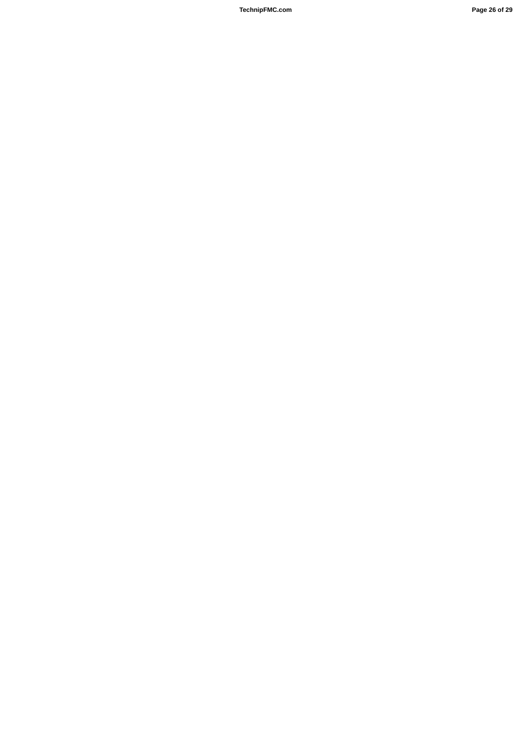**TechnipFMC.com Page 26 of [29](#page-34-0)**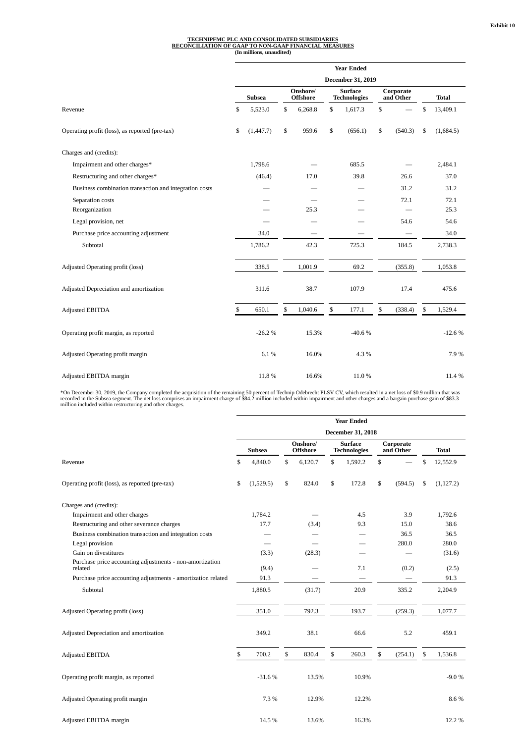## TECHNIPFMC PLC AND CONSOLIDATED SUBSIDIARIES<br>RECONCILIATION OF GAAP TO NON-GAAP FINANCIAL MEASURES<br>(In millions, unaudited)

|                                                        |                          |               |    |                             |    | <b>Year Ended</b>                     |                        |                 |
|--------------------------------------------------------|--------------------------|---------------|----|-----------------------------|----|---------------------------------------|------------------------|-----------------|
|                                                        | <b>December 31, 2019</b> |               |    |                             |    |                                       |                        |                 |
|                                                        |                          | <b>Subsea</b> |    | Onshore/<br><b>Offshore</b> |    | <b>Surface</b><br><b>Technologies</b> | Corporate<br>and Other | <b>Total</b>    |
| Revenue                                                | \$                       | 5,523.0       | \$ | 6,268.8                     | \$ | 1,617.3                               | \$                     | \$<br>13,409.1  |
| Operating profit (loss), as reported (pre-tax)         | \$                       | (1,447.7)     | \$ | 959.6                       | \$ | (656.1)                               | \$<br>(540.3)          | \$<br>(1,684.5) |
| Charges and (credits):                                 |                          |               |    |                             |    |                                       |                        |                 |
| Impairment and other charges*                          |                          | 1,798.6       |    |                             |    | 685.5                                 |                        | 2,484.1         |
| Restructuring and other charges*                       |                          | (46.4)        |    | 17.0                        |    | 39.8                                  | 26.6                   | 37.0            |
| Business combination transaction and integration costs |                          |               |    |                             |    |                                       | 31.2                   | 31.2            |
| Separation costs                                       |                          |               |    |                             |    |                                       | 72.1                   | 72.1            |
| Reorganization                                         |                          |               |    | 25.3                        |    |                                       |                        | 25.3            |
| Legal provision, net                                   |                          |               |    |                             |    |                                       | 54.6                   | 54.6            |
| Purchase price accounting adjustment                   |                          | 34.0          |    |                             |    |                                       |                        | 34.0            |
| Subtotal                                               |                          | 1,786.2       |    | 42.3                        |    | 725.3                                 | 184.5                  | 2,738.3         |
| Adjusted Operating profit (loss)                       |                          | 338.5         |    | 1,001.9                     |    | 69.2                                  | (355.8)                | 1,053.8         |
| Adjusted Depreciation and amortization                 |                          | 311.6         |    | 38.7                        |    | 107.9                                 | 17.4                   | 475.6           |
| <b>Adjusted EBITDA</b>                                 | \$                       | 650.1         | \$ | 1,040.6                     | \$ | 177.1                                 | \$<br>(338.4)          | \$<br>1,529.4   |
| Operating profit margin, as reported                   |                          | $-26.2%$      |    | 15.3%                       |    | $-40.6%$                              |                        | $-12.6%$        |
| Adjusted Operating profit margin                       |                          | 6.1%          |    | 16.0%                       |    | 4.3%                                  |                        | 7.9%            |
| Adjusted EBITDA margin                                 |                          | 11.8%         |    | 16.6%                       |    | 11.0%                                 |                        | 11.4%           |

\*On December 30, 2019, the Company completed the acquisition of the remaining 50 percent of Technip Odebrecht PLSV CV, which resulted in a net loss of \$0.9 million that was<br>recorded in the Subsea segment. The net loss comp

|                                                                     |                   |               |    |                             |    | <b>Year Ended</b>                     |    |                        |    |              |
|---------------------------------------------------------------------|-------------------|---------------|----|-----------------------------|----|---------------------------------------|----|------------------------|----|--------------|
|                                                                     | December 31, 2018 |               |    |                             |    |                                       |    |                        |    |              |
|                                                                     |                   | <b>Subsea</b> |    | Onshore/<br><b>Offshore</b> |    | <b>Surface</b><br><b>Technologies</b> |    | Corporate<br>and Other |    | <b>Total</b> |
| Revenue                                                             | \$                | 4,840.0       | \$ | 6,120.7                     | \$ | 1,592.2                               | \$ |                        | \$ | 12,552.9     |
| Operating profit (loss), as reported (pre-tax)                      | \$                | (1,529.5)     | \$ | 824.0                       | \$ | 172.8                                 | \$ | (594.5)                | \$ | (1, 127.2)   |
| Charges and (credits):                                              |                   |               |    |                             |    |                                       |    |                        |    |              |
| Impairment and other charges                                        |                   | 1,784.2       |    |                             |    | 4.5                                   |    | 3.9                    |    | 1,792.6      |
| Restructuring and other severance charges                           |                   | 17.7          |    | (3.4)                       |    | 9.3                                   |    | 15.0                   |    | 38.6         |
| Business combination transaction and integration costs              |                   |               |    |                             |    |                                       |    | 36.5                   |    | 36.5         |
| Legal provision                                                     |                   |               |    |                             |    |                                       |    | 280.0                  |    | 280.0        |
| Gain on divestitures                                                |                   | (3.3)         |    | (28.3)                      |    |                                       |    |                        |    | (31.6)       |
| Purchase price accounting adjustments - non-amortization<br>related |                   | (9.4)         |    |                             |    | 7.1                                   |    | (0.2)                  |    | (2.5)        |
| Purchase price accounting adjustments - amortization related        |                   | 91.3          |    |                             |    |                                       |    |                        |    | 91.3         |
| Subtotal                                                            |                   | 1,880.5       |    | (31.7)                      |    | 20.9                                  |    | 335.2                  |    | 2,204.9      |
| Adjusted Operating profit (loss)                                    |                   | 351.0         |    | 792.3                       |    | 193.7                                 |    | (259.3)                |    | 1,077.7      |
| Adjusted Depreciation and amortization                              |                   | 349.2         |    | 38.1                        |    | 66.6                                  |    | 5.2                    |    | 459.1        |
| <b>Adjusted EBITDA</b>                                              | \$                | 700.2         | \$ | 830.4                       | \$ | 260.3                                 | \$ | (254.1)                | \$ | 1,536.8      |
| Operating profit margin, as reported                                |                   | $-31.6%$      |    | 13.5%                       |    | 10.9%                                 |    |                        |    | $-9.0%$      |
| Adjusted Operating profit margin                                    |                   | 7.3%          |    | 12.9%                       |    | 12.2%                                 |    |                        |    | 8.6%         |
| Adjusted EBITDA margin                                              |                   | 14.5%         |    | 13.6%                       |    | 16.3%                                 |    |                        |    | 12.2%        |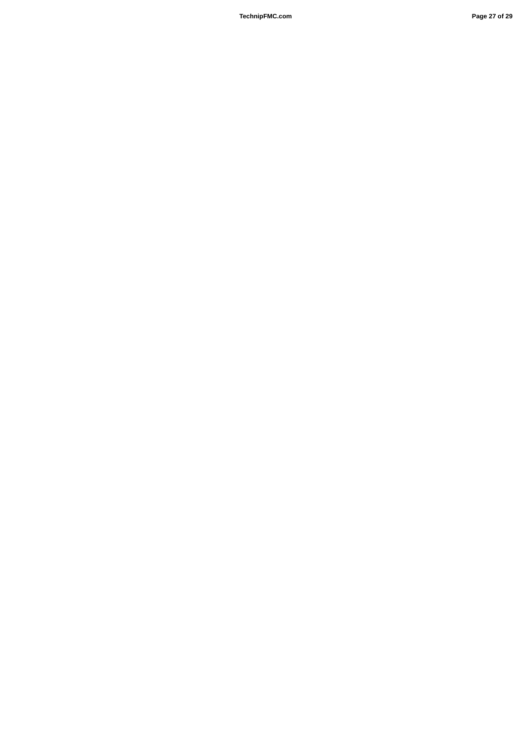**TechnipFMC.com Page 27 of [29](#page-34-0)**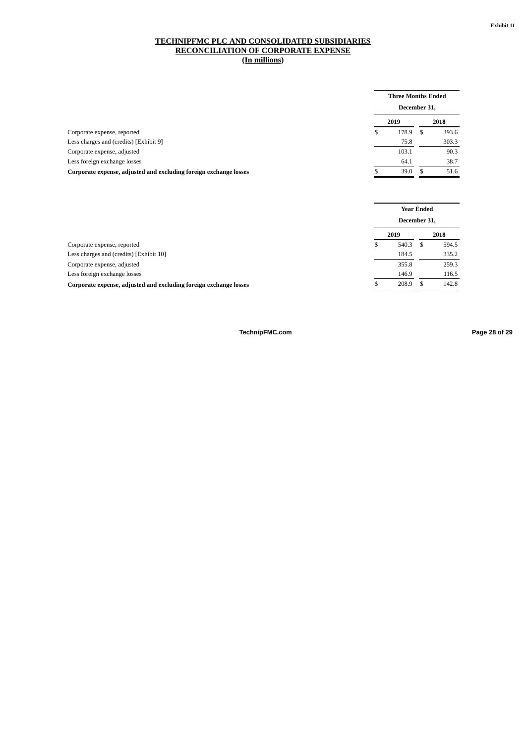#### **TECHNIPFMC PLC AND CONSOLIDATED SUBSIDIARIES RECONCILIATION OF CORPORATE EXPENSE (In millions)**

|                                                                   |      |       | <b>Three Months Ended</b><br>December 31, |       |  |  |  |  |  |
|-------------------------------------------------------------------|------|-------|-------------------------------------------|-------|--|--|--|--|--|
|                                                                   |      |       |                                           |       |  |  |  |  |  |
|                                                                   | 2019 |       |                                           | 2018  |  |  |  |  |  |
| Corporate expense, reported                                       |      | 178.9 |                                           | 393.6 |  |  |  |  |  |
| Less charges and (credits) [Exhibit 9]                            |      | 75.8  |                                           | 303.3 |  |  |  |  |  |
| Corporate expense, adjusted                                       |      | 103.1 |                                           | 90.3  |  |  |  |  |  |
| Less foreign exchange losses                                      |      | 64.1  |                                           | 38.7  |  |  |  |  |  |
| Corporate expense, adjusted and excluding foreign exchange losses |      | 39.0  |                                           | 51.6  |  |  |  |  |  |

|                                                                   |  | <b>Year Ended</b><br>December 31,<br>2019<br>2018<br>540.3<br>\$<br>184.5 |  |       |  |  |  |  |  |  |  |
|-------------------------------------------------------------------|--|---------------------------------------------------------------------------|--|-------|--|--|--|--|--|--|--|
|                                                                   |  |                                                                           |  |       |  |  |  |  |  |  |  |
| Corporate expense, reported                                       |  |                                                                           |  | 594.5 |  |  |  |  |  |  |  |
| Less charges and (credits) [Exhibit 10]                           |  |                                                                           |  | 335.2 |  |  |  |  |  |  |  |
| Corporate expense, adjusted                                       |  | 355.8                                                                     |  | 259.3 |  |  |  |  |  |  |  |
| Less foreign exchange losses                                      |  | 146.9                                                                     |  | 116.5 |  |  |  |  |  |  |  |
| Corporate expense, adjusted and excluding foreign exchange losses |  | 208.9                                                                     |  | 142.8 |  |  |  |  |  |  |  |
|                                                                   |  |                                                                           |  |       |  |  |  |  |  |  |  |

**TechnipFMC.com Page 28 of [29](#page-34-0)**